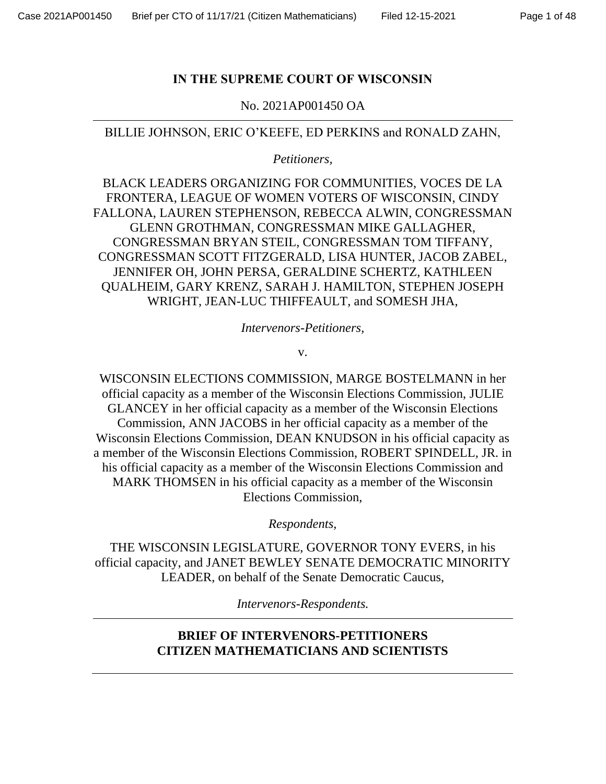### **IN THE SUPREME COURT OF WISCONSIN**

No. 2021AP001450 OA

BILLIE JOHNSON, ERIC O'KEEFE, ED PERKINS and RONALD ZAHN,

*Petitioners,* 

BLACK LEADERS ORGANIZING FOR COMMUNITIES, VOCES DE LA FRONTERA, LEAGUE OF WOMEN VOTERS OF WISCONSIN, CINDY FALLONA, LAUREN STEPHENSON, REBECCA ALWIN, CONGRESSMAN GLENN GROTHMAN, CONGRESSMAN MIKE GALLAGHER, CONGRESSMAN BRYAN STEIL, CONGRESSMAN TOM TIFFANY, CONGRESSMAN SCOTT FITZGERALD, LISA HUNTER, JACOB ZABEL, JENNIFER OH, JOHN PERSA, GERALDINE SCHERTZ, KATHLEEN QUALHEIM, GARY KRENZ, SARAH J. HAMILTON, STEPHEN JOSEPH WRIGHT, JEAN-LUC THIFFEAULT, and SOMESH JHA,

*Intervenors-Petitioners,*

v.

WISCONSIN ELECTIONS COMMISSION, MARGE BOSTELMANN in her official capacity as a member of the Wisconsin Elections Commission, JULIE GLANCEY in her official capacity as a member of the Wisconsin Elections Commission, ANN JACOBS in her official capacity as a member of the Wisconsin Elections Commission, DEAN KNUDSON in his official capacity as a member of the Wisconsin Elections Commission, ROBERT SPINDELL, JR. in his official capacity as a member of the Wisconsin Elections Commission and MARK THOMSEN in his official capacity as a member of the Wisconsin Elections Commission,

*Respondents,*

THE WISCONSIN LEGISLATURE, GOVERNOR TONY EVERS, in his official capacity, and JANET BEWLEY SENATE DEMOCRATIC MINORITY LEADER, on behalf of the Senate Democratic Caucus,

*Intervenors-Respondents.*

## **BRIEF OF INTERVENORS-PETITIONERS CITIZEN MATHEMATICIANS AND SCIENTISTS**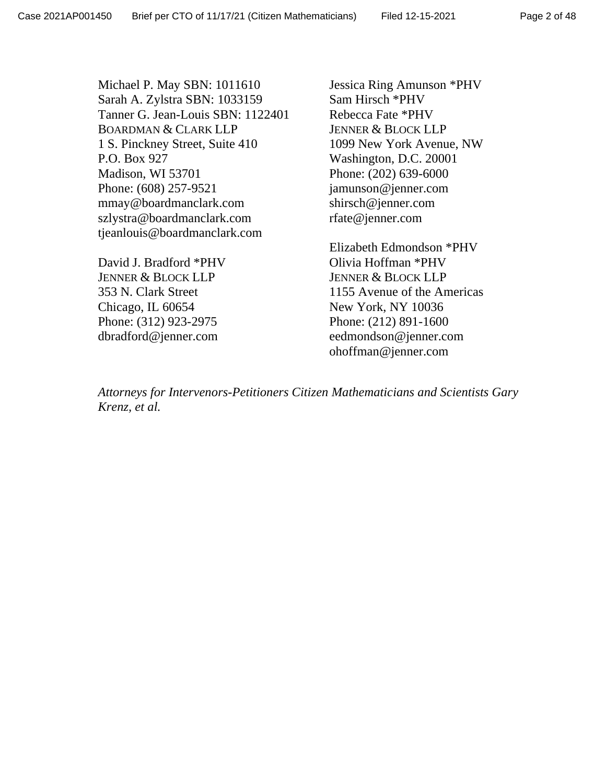Michael P. May SBN: 1011610 Sarah A. Zylstra SBN: 1033159 Tanner G. Jean-Louis SBN: 1122401 BOARDMAN & CLARK LLP 1 S. Pinckney Street, Suite 410 P.O. Box 927 Madison, WI 53701 Phone: (608) 257-9521 mmay@boardmanclark.com szlystra@boardmanclark.com tjeanlouis@boardmanclark.com

David J. Bradford \*PHV JENNER & BLOCK LLP 353 N. Clark Street Chicago, IL 60654 Phone: (312) 923-2975 dbradford@jenner.com

Jessica Ring Amunson \*PHV Sam Hirsch \*PHV Rebecca Fate \*PHV JENNER & BLOCK LLP 1099 New York Avenue, NW Washington, D.C. 20001 Phone: (202) 639-6000 jamunson@jenner.com shirsch@jenner.com rfate@jenner.com

Elizabeth Edmondson \*PHV Olivia Hoffman \*PHV JENNER & BLOCK LLP 1155 Avenue of the Americas New York, NY 10036 Phone: (212) 891-1600 eedmondson@jenner.com ohoffman@jenner.com

*Attorneys for Intervenors-Petitioners Citizen Mathematicians and Scientists Gary Krenz, et al.*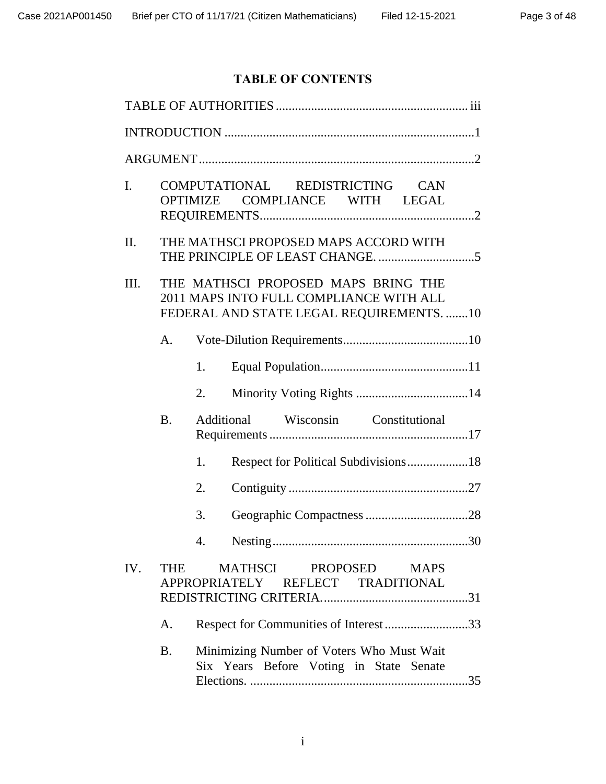# **TABLE OF CONTENTS**

| $\mathbf{I}$ . |                                                                                                                            | COMPUTATIONAL REDISTRICTING CAN<br>COMPLIANCE WITH LEGAL<br><b>OPTIMIZE</b>          |  |  |  |
|----------------|----------------------------------------------------------------------------------------------------------------------------|--------------------------------------------------------------------------------------|--|--|--|
| П.             |                                                                                                                            | THE MATHSCI PROPOSED MAPS ACCORD WITH                                                |  |  |  |
| Ш.             | THE MATHSCI PROPOSED MAPS BRING THE<br>2011 MAPS INTO FULL COMPLIANCE WITH ALL<br>FEDERAL AND STATE LEGAL REQUIREMENTS. 10 |                                                                                      |  |  |  |
|                | A.                                                                                                                         |                                                                                      |  |  |  |
|                |                                                                                                                            | 1.                                                                                   |  |  |  |
|                |                                                                                                                            | 2.                                                                                   |  |  |  |
|                | <b>B.</b>                                                                                                                  | Additional Wisconsin Constitutional                                                  |  |  |  |
|                |                                                                                                                            | Respect for Political Subdivisions18<br>1.                                           |  |  |  |
|                |                                                                                                                            | 2.                                                                                   |  |  |  |
|                |                                                                                                                            | 3.                                                                                   |  |  |  |
|                |                                                                                                                            | 30                                                                                   |  |  |  |
| IV.            | <b>THE</b>                                                                                                                 | <b>MATHSCI</b><br>PROPOSED<br><b>MAPS</b><br>APPROPRIATELY REFLECT TRADITIONAL       |  |  |  |
|                | A.                                                                                                                         | Respect for Communities of Interest33                                                |  |  |  |
|                | <b>B.</b>                                                                                                                  | Minimizing Number of Voters Who Must Wait<br>Six Years Before Voting in State Senate |  |  |  |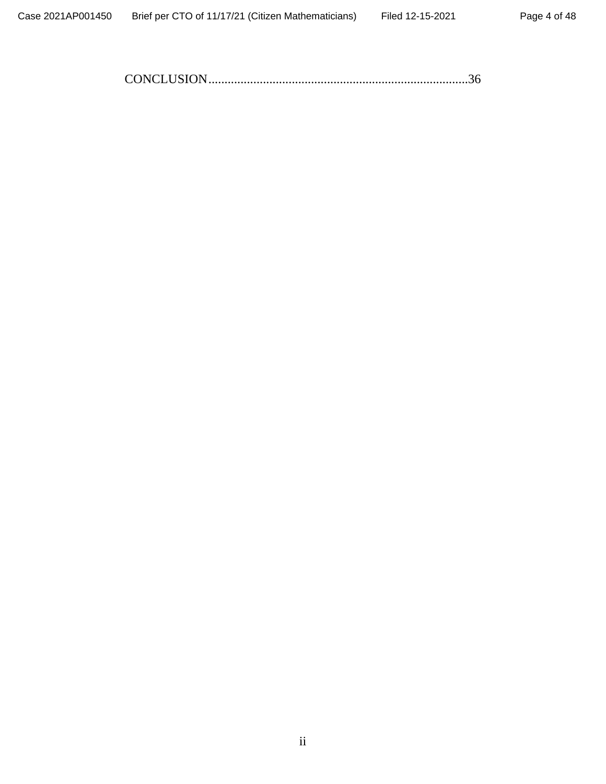CONCLUSION.................................................................................36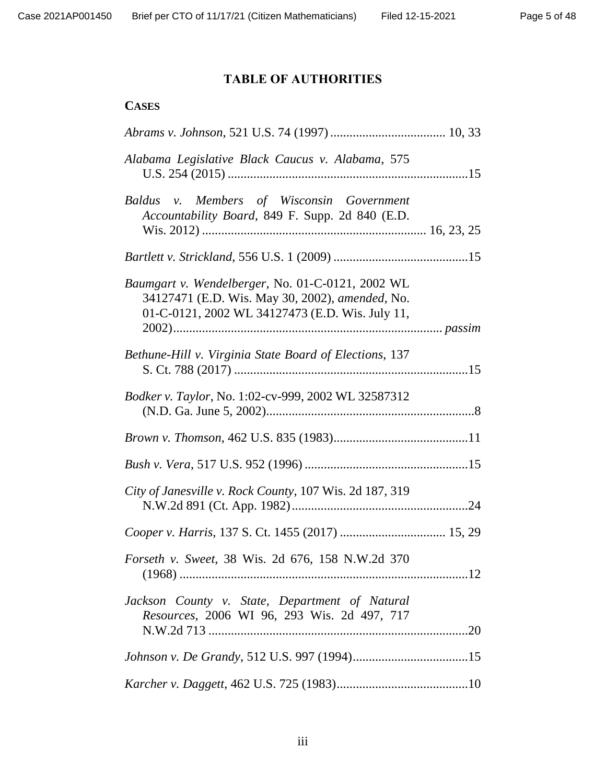# **TABLE OF AUTHORITIES**

## **CASES**

| Alabama Legislative Black Caucus v. Alabama, 575                                                                                                       |
|--------------------------------------------------------------------------------------------------------------------------------------------------------|
| Members of Wisconsin Government<br>Baldus v.<br>Accountability Board, 849 F. Supp. 2d 840 (E.D.                                                        |
|                                                                                                                                                        |
| Baumgart v. Wendelberger, No. 01-C-0121, 2002 WL<br>34127471 (E.D. Wis. May 30, 2002), amended, No.<br>01-C-0121, 2002 WL 34127473 (E.D. Wis. July 11, |
| Bethune-Hill v. Virginia State Board of Elections, 137                                                                                                 |
| <i>Bodker v. Taylor, No. 1:02-cv-999, 2002 WL 32587312</i>                                                                                             |
|                                                                                                                                                        |
|                                                                                                                                                        |
| City of Janesville v. Rock County, 107 Wis. 2d 187, 319                                                                                                |
|                                                                                                                                                        |
| <i>Forseth v. Sweet, 38 Wis. 2d 676, 158 N.W.2d 370</i>                                                                                                |
| Jackson County v. State, Department of Natural<br>Resources, 2006 WI 96, 293 Wis. 2d 497, 717                                                          |
|                                                                                                                                                        |
|                                                                                                                                                        |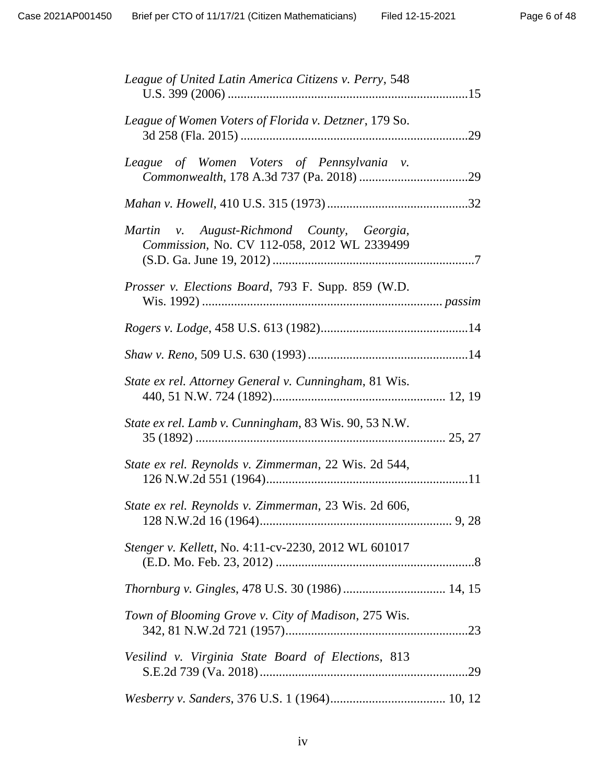| League of United Latin America Citizens v. Perry, 548                                     |
|-------------------------------------------------------------------------------------------|
| League of Women Voters of Florida v. Detzner, 179 So.                                     |
| League of Women Voters of Pennsylvania v.                                                 |
|                                                                                           |
| Martin v. August-Richmond County, Georgia,<br>Commission, No. CV 112-058, 2012 WL 2339499 |
| <i>Prosser v. Elections Board, 793 F. Supp. 859 (W.D.</i>                                 |
|                                                                                           |
|                                                                                           |
| State ex rel. Attorney General v. Cunningham, 81 Wis.                                     |
| State ex rel. Lamb v. Cunningham, 83 Wis. 90, 53 N.W.                                     |
| State ex rel. Reynolds v. Zimmerman, 22 Wis. 2d 544,                                      |
| State ex rel. Reynolds v. Zimmerman, 23 Wis. 2d 606,                                      |
| Stenger v. Kellett, No. 4:11-cv-2230, 2012 WL 601017                                      |
|                                                                                           |
| Town of Blooming Grove v. City of Madison, 275 Wis.                                       |
| Vesilind v. Virginia State Board of Elections, 813                                        |
|                                                                                           |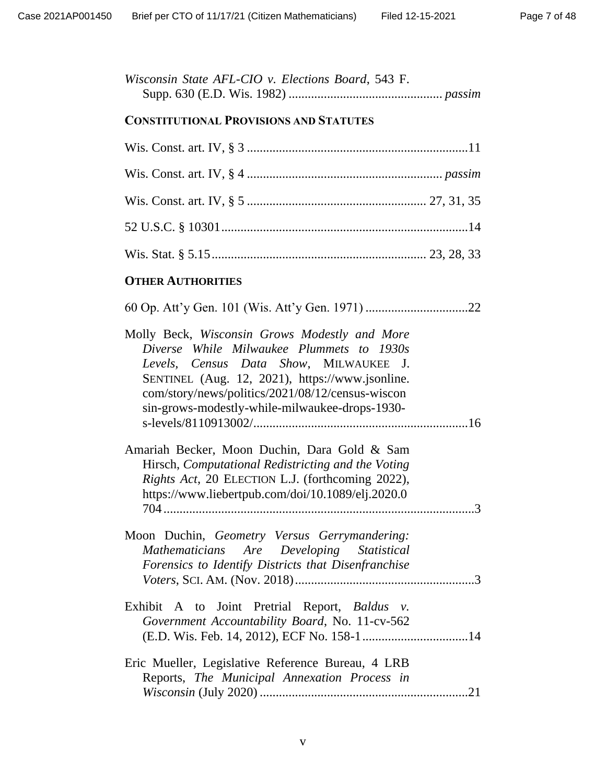| Wisconsin State AFL-CIO v. Elections Board, 543 F. |  |  |  |  |
|----------------------------------------------------|--|--|--|--|
|                                                    |  |  |  |  |

## **CONSTITUTIONAL PROVISIONS AND STATUTES**

## **OTHER AUTHORITIES**

| Molly Beck, Wisconsin Grows Modestly and More<br>Diverse While Milwaukee Plummets to 1930s<br>Levels, Census Data Show, MILWAUKEE J.<br>SENTINEL (Aug. 12, 2021), https://www.jsonline.<br>com/story/news/politics/2021/08/12/census-wiscon<br>sin-grows-modestly-while-milwaukee-drops-1930- |  |
|-----------------------------------------------------------------------------------------------------------------------------------------------------------------------------------------------------------------------------------------------------------------------------------------------|--|
|                                                                                                                                                                                                                                                                                               |  |
| Amariah Becker, Moon Duchin, Dara Gold & Sam<br>Hirsch, Computational Redistricting and the Voting<br>Rights Act, 20 ELECTION L.J. (forthcoming 2022),<br>https://www.liebertpub.com/doi/10.1089/elj.2020.0                                                                                   |  |
| Moon Duchin, Geometry Versus Gerrymandering:<br>Mathematicians Are Developing Statistical<br>Forensics to Identify Districts that Disenfranchise                                                                                                                                              |  |
| Exhibit A to Joint Pretrial Report, Baldus v.<br>Government Accountability Board, No. 11-cv-562                                                                                                                                                                                               |  |
| Eric Mueller, Legislative Reference Bureau, 4 LRB<br>Reports, The Municipal Annexation Process in                                                                                                                                                                                             |  |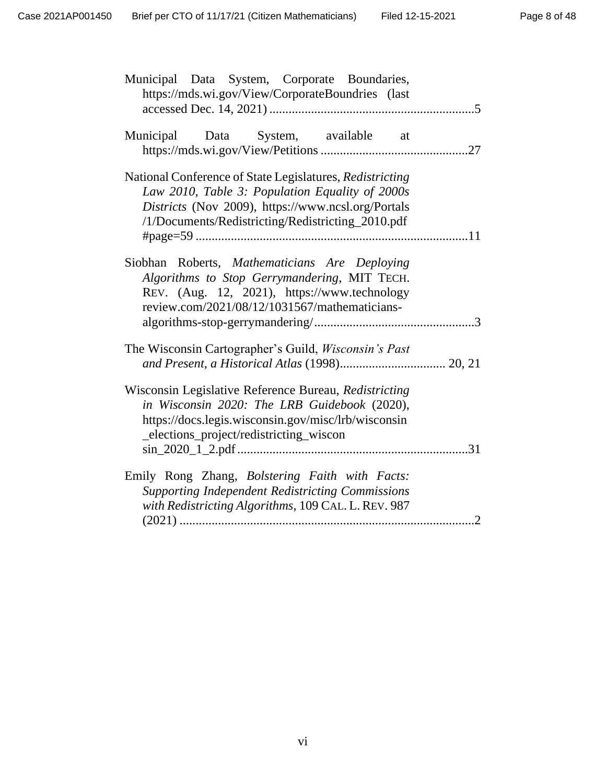| Municipal Data System, Corporate Boundaries,<br>https://mds.wi.gov/View/CorporateBoundries (last                                                                                                                       |
|------------------------------------------------------------------------------------------------------------------------------------------------------------------------------------------------------------------------|
| Municipal Data System, available at                                                                                                                                                                                    |
| National Conference of State Legislatures, Redistricting<br>Law 2010, Table 3: Population Equality of 2000s<br>Districts (Nov 2009), https://www.ncsl.org/Portals<br>/1/Documents/Redistricting/Redistricting_2010.pdf |
| Siobhan Roberts, Mathematicians Are Deploying<br>Algorithms to Stop Gerrymandering, MIT TECH.<br>REV. (Aug. 12, 2021), https://www.technology<br>review.com/2021/08/12/1031567/mathematicians-                         |
| The Wisconsin Cartographer's Guild, <i>Wisconsin's Past</i>                                                                                                                                                            |
| Wisconsin Legislative Reference Bureau, Redistricting<br>in Wisconsin 2020: The LRB Guidebook (2020),<br>https://docs.legis.wisconsin.gov/misc/lrb/wisconsin<br>_elections_project/redistricting_wiscon                |
| Emily Rong Zhang, Bolstering Faith with Facts:<br><b>Supporting Independent Redistricting Commissions</b><br>with Redistricting Algorithms, 109 CAL. L. REV. 987                                                       |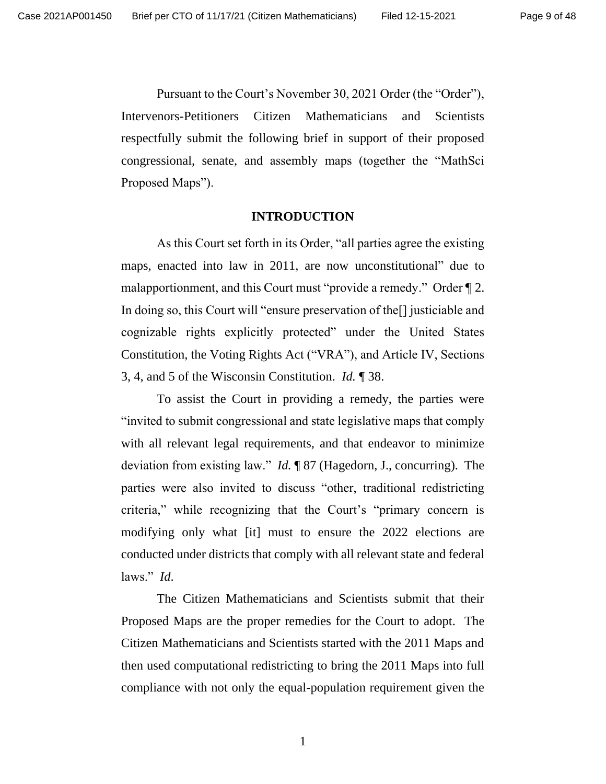Pursuant to the Court's November 30, 2021 Order (the "Order"), Intervenors-Petitioners Citizen Mathematicians and Scientists respectfully submit the following brief in support of their proposed congressional, senate, and assembly maps (together the "MathSci Proposed Maps").

#### **INTRODUCTION**

As this Court set forth in its Order, "all parties agree the existing maps, enacted into law in 2011, are now unconstitutional" due to malapportionment, and this Court must "provide a remedy." Order ¶ 2. In doing so, this Court will "ensure preservation of the[] justiciable and cognizable rights explicitly protected" under the United States Constitution, the Voting Rights Act ("VRA"), and Article IV, Sections 3, 4, and 5 of the Wisconsin Constitution. *Id.* ¶ 38.

To assist the Court in providing a remedy, the parties were "invited to submit congressional and state legislative maps that comply with all relevant legal requirements, and that endeavor to minimize deviation from existing law." *Id.* ¶ 87 (Hagedorn, J., concurring). The parties were also invited to discuss "other, traditional redistricting criteria," while recognizing that the Court's "primary concern is modifying only what [it] must to ensure the 2022 elections are conducted under districts that comply with all relevant state and federal laws." *Id*.

The Citizen Mathematicians and Scientists submit that their Proposed Maps are the proper remedies for the Court to adopt. The Citizen Mathematicians and Scientists started with the 2011 Maps and then used computational redistricting to bring the 2011 Maps into full compliance with not only the equal-population requirement given the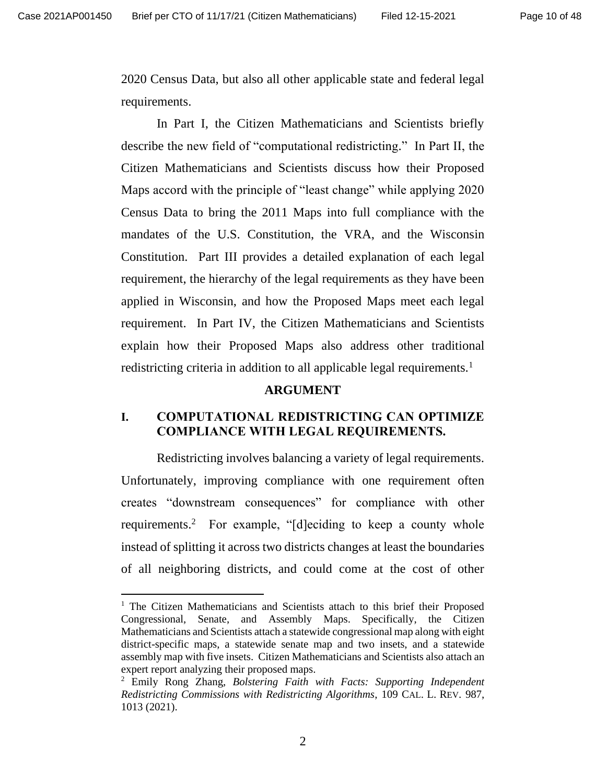2020 Census Data, but also all other applicable state and federal legal requirements.

In Part I, the Citizen Mathematicians and Scientists briefly describe the new field of "computational redistricting." In Part II, the Citizen Mathematicians and Scientists discuss how their Proposed Maps accord with the principle of "least change" while applying 2020 Census Data to bring the 2011 Maps into full compliance with the mandates of the U.S. Constitution, the VRA, and the Wisconsin Constitution. Part III provides a detailed explanation of each legal requirement, the hierarchy of the legal requirements as they have been applied in Wisconsin, and how the Proposed Maps meet each legal requirement. In Part IV, the Citizen Mathematicians and Scientists explain how their Proposed Maps also address other traditional redistricting criteria in addition to all applicable legal requirements.<sup>1</sup>

#### **ARGUMENT**

### **I. COMPUTATIONAL REDISTRICTING CAN OPTIMIZE COMPLIANCE WITH LEGAL REQUIREMENTS.**

Redistricting involves balancing a variety of legal requirements. Unfortunately, improving compliance with one requirement often creates "downstream consequences" for compliance with other requirements.<sup>2</sup> For example, "[d]eciding to keep a county whole instead of splitting it across two districts changes at least the boundaries of all neighboring districts, and could come at the cost of other

<sup>1</sup> The Citizen Mathematicians and Scientists attach to this brief their Proposed Congressional, Senate, and Assembly Maps. Specifically, the Citizen Mathematicians and Scientists attach a statewide congressional map along with eight district-specific maps, a statewide senate map and two insets, and a statewide assembly map with five insets. Citizen Mathematicians and Scientists also attach an expert report analyzing their proposed maps.

<sup>2</sup> Emily Rong Zhang, *Bolstering Faith with Facts: Supporting Independent Redistricting Commissions with Redistricting Algorithms*, 109 CAL. L. REV. 987, 1013 (2021).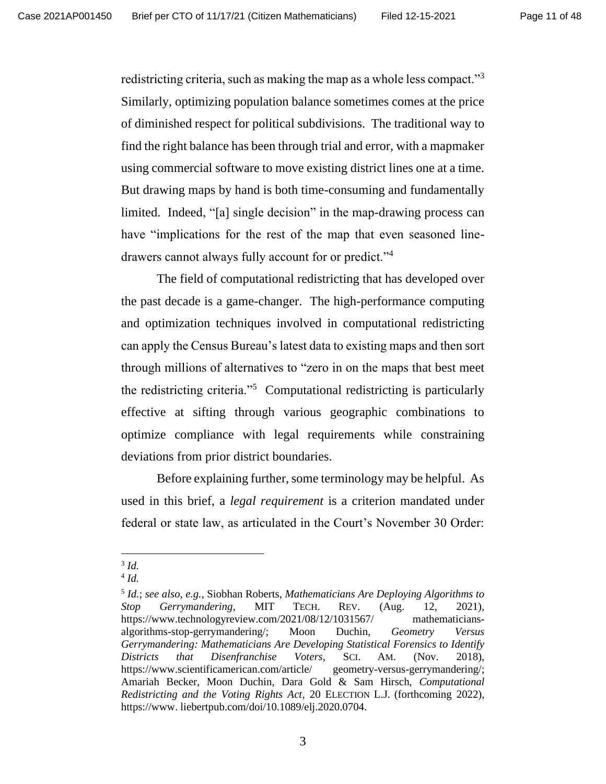redistricting criteria, such as making the map as a whole less compact."<sup>3</sup> Similarly, optimizing population balance sometimes comes at the price of diminished respect for political subdivisions. The traditional way to find the right balance has been through trial and error, with a mapmaker using commercial software to move existing district lines one at a time. But drawing maps by hand is both time-consuming and fundamentally limited. Indeed, "[a] single decision" in the map-drawing process can have "implications for the rest of the map that even seasoned linedrawers cannot always fully account for or predict."<sup>4</sup>

The field of computational redistricting that has developed over the past decade is a game-changer. The high-performance computing and optimization techniques involved in computational redistricting can apply the Census Bureau's latest data to existing maps and then sort through millions of alternatives to "zero in on the maps that best meet the redistricting criteria."<sup>5</sup> Computational redistricting is particularly effective at sifting through various geographic combinations to optimize compliance with legal requirements while constraining deviations from prior district boundaries.

Before explaining further, some terminology may be helpful. As used in this brief, a *legal requirement* is a criterion mandated under federal or state law, as articulated in the Court's November 30 Order:

<sup>3</sup> *Id.*

<sup>4</sup> *Id.*

<sup>5</sup> *Id.*; *see also, e.g.*, Siobhan Roberts, *Mathematicians Are Deploying Algorithms to Stop Gerrymandering*, MIT TECH. REV. (Aug. 12, 2021), <https://www.technologyreview.com/2021/08/12/1031567/> mathematiciansalgorithms-stop-gerrymandering/; Moon Duchin, *Geometry Versus Gerrymandering: Mathematicians Are Developing Statistical Forensics to Identify Districts that Disenfranchise Voters*, SCI. AM. (Nov. 2018), <https://www.scientificamerican.com/article/> geometry-versus-gerrymandering/; Amariah Becker, Moon Duchin, Dara Gold & Sam Hirsch, *Computational Redistricting and the Voting Rights Act*, 20 ELECTION L.J. (forthcoming 2022), [https://www.](https://www/) liebertpub.com/doi/10.1089/elj.2020.0704.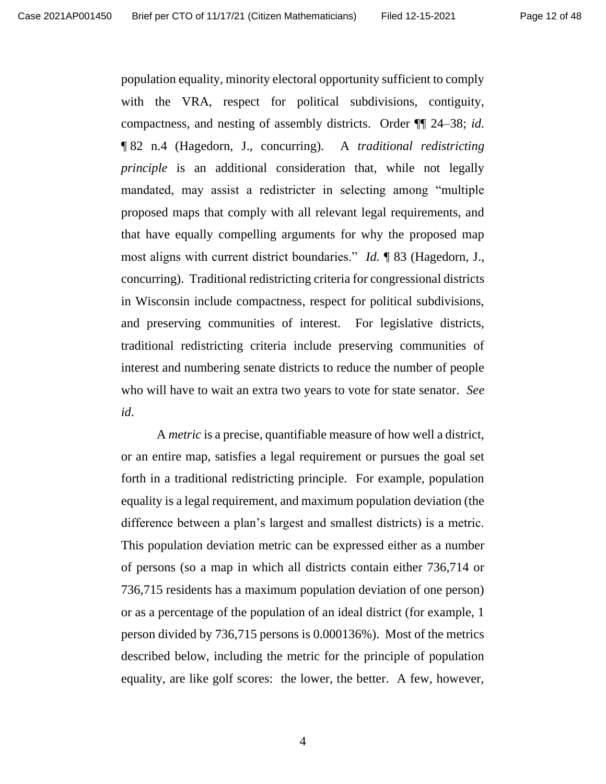population equality, minority electoral opportunity sufficient to comply with the VRA, respect for political subdivisions, contiguity, compactness, and nesting of assembly districts. Order ¶¶ 24–38; *id.* ¶ 82 n.4 (Hagedorn, J., concurring). A *traditional redistricting principle* is an additional consideration that, while not legally mandated, may assist a redistricter in selecting among "multiple proposed maps that comply with all relevant legal requirements, and that have equally compelling arguments for why the proposed map most aligns with current district boundaries." *Id.* ¶ 83 (Hagedorn, J., concurring). Traditional redistricting criteria for congressional districts in Wisconsin include compactness, respect for political subdivisions, and preserving communities of interest. For legislative districts, traditional redistricting criteria include preserving communities of interest and numbering senate districts to reduce the number of people who will have to wait an extra two years to vote for state senator. *See id*.

A *metric* is a precise, quantifiable measure of how well a district, or an entire map, satisfies a legal requirement or pursues the goal set forth in a traditional redistricting principle. For example, population equality is a legal requirement, and maximum population deviation (the difference between a plan's largest and smallest districts) is a metric. This population deviation metric can be expressed either as a number of persons (so a map in which all districts contain either 736,714 or 736,715 residents has a maximum population deviation of one person) or as a percentage of the population of an ideal district (for example, 1 person divided by 736,715 persons is 0.000136%). Most of the metrics described below, including the metric for the principle of population equality, are like golf scores: the lower, the better. A few, however,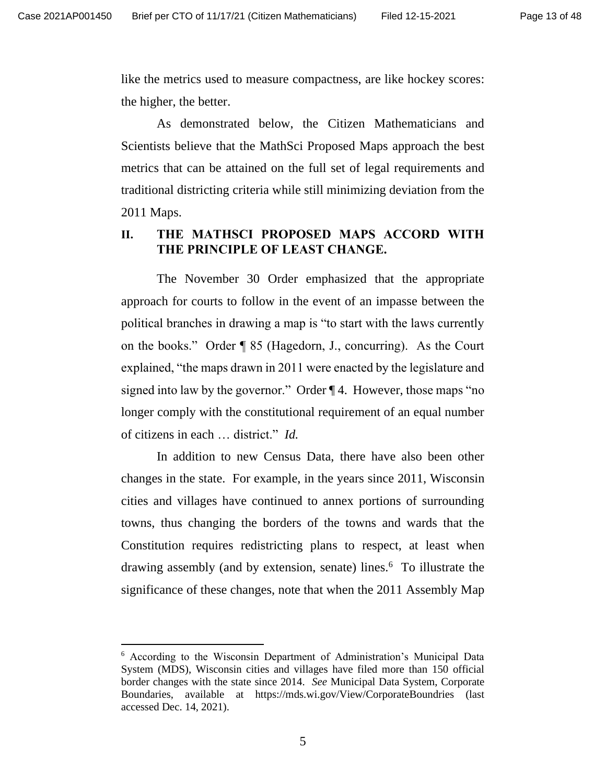like the metrics used to measure compactness, are like hockey scores: the higher, the better.

As demonstrated below, the Citizen Mathematicians and Scientists believe that the MathSci Proposed Maps approach the best metrics that can be attained on the full set of legal requirements and traditional districting criteria while still minimizing deviation from the 2011 Maps.

### **II. THE MATHSCI PROPOSED MAPS ACCORD WITH THE PRINCIPLE OF LEAST CHANGE.**

The November 30 Order emphasized that the appropriate approach for courts to follow in the event of an impasse between the political branches in drawing a map is "to start with the laws currently on the books." Order ¶ 85 (Hagedorn, J., concurring). As the Court explained, "the maps drawn in 2011 were enacted by the legislature and signed into law by the governor." Order ¶ 4. However, those maps "no longer comply with the constitutional requirement of an equal number of citizens in each … district." *Id.*

In addition to new Census Data, there have also been other changes in the state. For example, in the years since 2011, Wisconsin cities and villages have continued to annex portions of surrounding towns, thus changing the borders of the towns and wards that the Constitution requires redistricting plans to respect, at least when drawing assembly (and by extension, senate) lines.<sup>6</sup> To illustrate the significance of these changes, note that when the 2011 Assembly Map

<sup>6</sup> According to the Wisconsin Department of Administration's Municipal Data System (MDS), Wisconsin cities and villages have filed more than 150 official border changes with the state since 2014. *See* Municipal Data System, Corporate Boundaries, available at https://mds.wi.gov/View/CorporateBoundries (last accessed Dec. 14, 2021).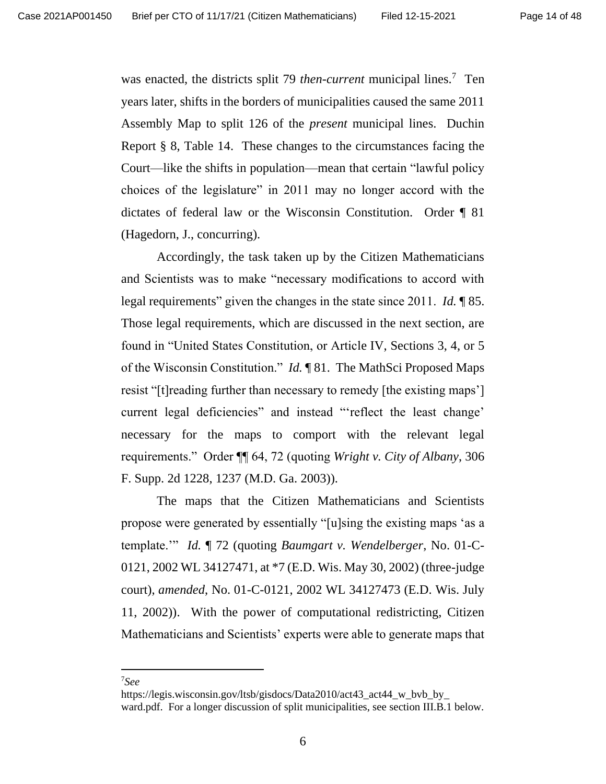was enacted, the districts split 79 *then-current* municipal lines.<sup>7</sup> Ten years later, shifts in the borders of municipalities caused the same 2011 Assembly Map to split 126 of the *present* municipal lines. Duchin Report § 8, Table 14. These changes to the circumstances facing the Court—like the shifts in population—mean that certain "lawful policy choices of the legislature" in 2011 may no longer accord with the dictates of federal law or the Wisconsin Constitution. Order ¶ 81 (Hagedorn, J., concurring).

Accordingly, the task taken up by the Citizen Mathematicians and Scientists was to make "necessary modifications to accord with legal requirements" given the changes in the state since 2011. *Id.* ¶ 85. Those legal requirements, which are discussed in the next section, are found in "United States Constitution, or Article IV, Sections 3, 4, or 5 of the Wisconsin Constitution." *Id.* ¶ 81. The MathSci Proposed Maps resist "[t]reading further than necessary to remedy [the existing maps'] current legal deficiencies" and instead "'reflect the least change' necessary for the maps to comport with the relevant legal requirements." Order ¶¶ 64, 72 (quoting *Wright v. City of Albany*, 306 F. Supp. 2d 1228, 1237 (M.D. Ga. 2003)).

The maps that the Citizen Mathematicians and Scientists propose were generated by essentially "[u]sing the existing maps 'as a template.'" *Id.* ¶ 72 (quoting *Baumgart v. Wendelberger*, No. 01-C-0121, 2002 WL 34127471, at \*7 (E.D. Wis. May 30, 2002) (three-judge court), *amended*, No. 01-C-0121, 2002 WL 34127473 (E.D. Wis. July 11, 2002)). With the power of computational redistricting, Citizen Mathematicians and Scientists' experts were able to generate maps that

<sup>7</sup>*See*

https://legis.wisconsin.gov/ltsb/gisdocs/Data2010/act43 act44 w bvb by ward.pdf. For a longer discussion of split municipalities, see section III.B.1 below.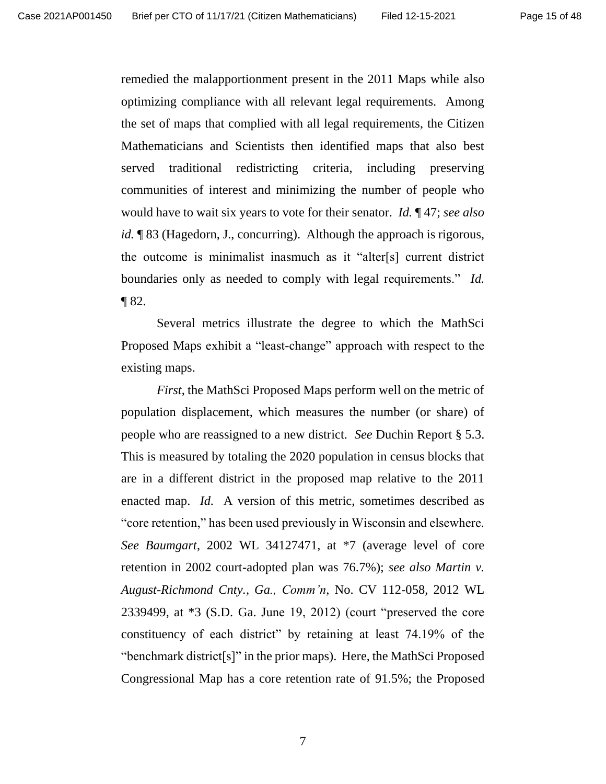remedied the malapportionment present in the 2011 Maps while also optimizing compliance with all relevant legal requirements. Among the set of maps that complied with all legal requirements, the Citizen Mathematicians and Scientists then identified maps that also best served traditional redistricting criteria, including preserving communities of interest and minimizing the number of people who would have to wait six years to vote for their senator. *Id.* ¶ 47; *see also id.* **[83** (Hagedorn, J., concurring). Although the approach is rigorous, the outcome is minimalist inasmuch as it "alter[s] current district boundaries only as needed to comply with legal requirements." *Id.* ¶ 82.

Several metrics illustrate the degree to which the MathSci Proposed Maps exhibit a "least-change" approach with respect to the existing maps.

*First*, the MathSci Proposed Maps perform well on the metric of population displacement, which measures the number (or share) of people who are reassigned to a new district. *See* Duchin Report § 5.3. This is measured by totaling the 2020 population in census blocks that are in a different district in the proposed map relative to the 2011 enacted map. *Id.* A version of this metric, sometimes described as "core retention," has been used previously in Wisconsin and elsewhere. *See Baumgart*, 2002 WL 34127471, at \*7 (average level of core retention in 2002 court-adopted plan was 76.7%); *see also Martin v. August-Richmond Cnty., Ga., Comm'n*, No. CV 112-058, 2012 WL 2339499, at \*3 (S.D. Ga. June 19, 2012) (court "preserved the core constituency of each district" by retaining at least 74.19% of the "benchmark district[s]" in the prior maps). Here, the MathSci Proposed Congressional Map has a core retention rate of 91.5%; the Proposed

7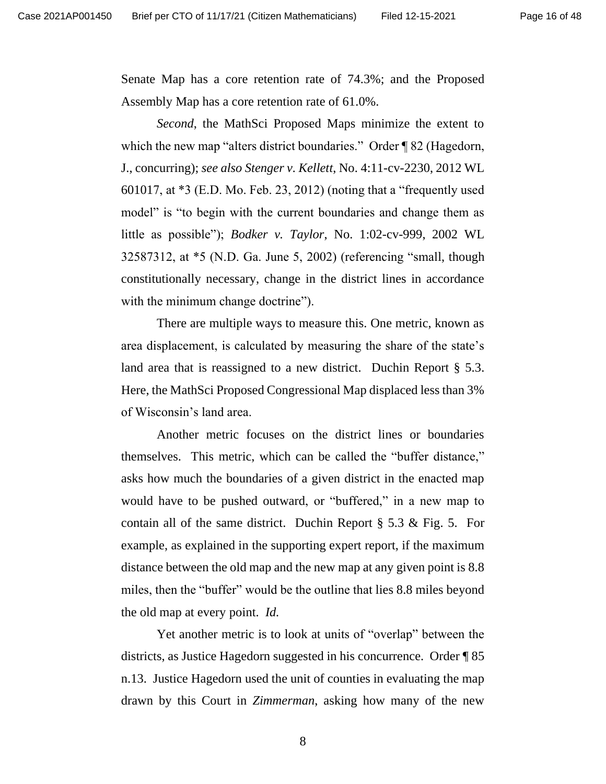Senate Map has a core retention rate of 74.3%; and the Proposed Assembly Map has a core retention rate of 61.0%.

*Second*, the MathSci Proposed Maps minimize the extent to which the new map "alters district boundaries." Order ¶ 82 (Hagedorn, J., concurring); *see also Stenger v. Kellett*, No. 4:11-cv-2230, 2012 WL 601017, at \*3 (E.D. Mo. Feb. 23, 2012) (noting that a "frequently used model" is "to begin with the current boundaries and change them as little as possible"); *Bodker v. Taylor*, No. 1:02-cv-999, 2002 WL 32587312, at \*5 (N.D. Ga. June 5, 2002) (referencing "small, though constitutionally necessary, change in the district lines in accordance with the minimum change doctrine").

There are multiple ways to measure this. One metric, known as area displacement, is calculated by measuring the share of the state's land area that is reassigned to a new district. Duchin Report § 5.3. Here, the MathSci Proposed Congressional Map displaced less than 3% of Wisconsin's land area.

Another metric focuses on the district lines or boundaries themselves. This metric, which can be called the "buffer distance," asks how much the boundaries of a given district in the enacted map would have to be pushed outward, or "buffered," in a new map to contain all of the same district. Duchin Report § 5.3 & Fig. 5. For example, as explained in the supporting expert report, if the maximum distance between the old map and the new map at any given point is 8.8 miles, then the "buffer" would be the outline that lies 8.8 miles beyond the old map at every point. *Id.*

Yet another metric is to look at units of "overlap" between the districts, as Justice Hagedorn suggested in his concurrence. Order ¶ 85 n.13. Justice Hagedorn used the unit of counties in evaluating the map drawn by this Court in *Zimmerman*, asking how many of the new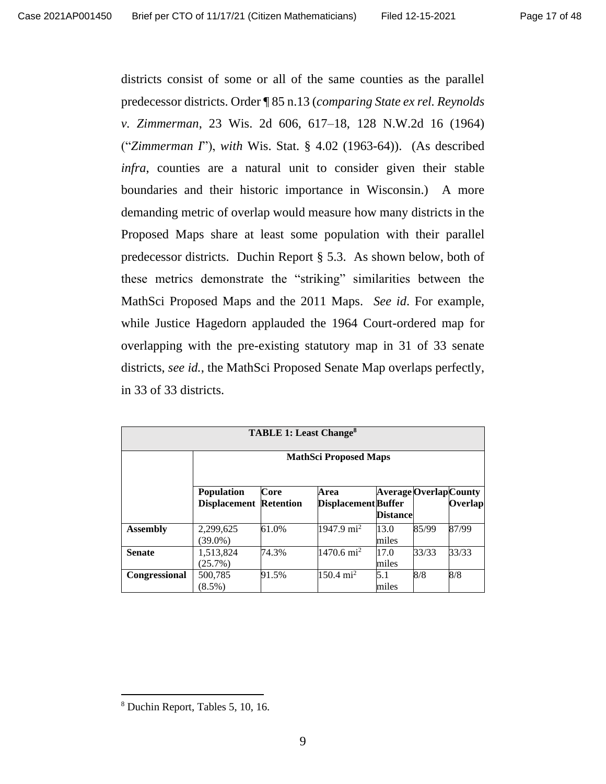districts consist of some or all of the same counties as the parallel predecessor districts. Order ¶ 85 n.13 (*comparing State ex rel. Reynolds v. Zimmerman*, 23 Wis. 2d 606, 617–18, 128 N.W.2d 16 (1964) ("*Zimmerman I*"), *with* Wis. Stat. § 4.02 (1963-64)). (As described *infra*, counties are a natural unit to consider given their stable boundaries and their historic importance in Wisconsin.) A more demanding metric of overlap would measure how many districts in the Proposed Maps share at least some population with their parallel predecessor districts. Duchin Report § 5.3. As shown below, both of these metrics demonstrate the "striking" similarities between the MathSci Proposed Maps and the 2011 Maps. *See id*. For example, while Justice Hagedorn applauded the 1964 Court-ordered map for overlapping with the pre-existing statutory map in 31 of 33 senate districts, *see id.*, the MathSci Proposed Senate Map overlaps perfectly, in 33 of 33 districts.

| <b>TABLE 1: Least Change<sup>8</sup></b> |                                          |                          |                                    |                                                  |       |         |
|------------------------------------------|------------------------------------------|--------------------------|------------------------------------|--------------------------------------------------|-------|---------|
|                                          | <b>MathSci Proposed Maps</b>             |                          |                                    |                                                  |       |         |
|                                          | <b>Population</b><br><b>Displacement</b> | Core<br><b>Retention</b> | Area<br><b>Displacement Buffer</b> | <b>Average Overlap County</b><br><b>Distance</b> |       | Overlap |
| <b>Assembly</b>                          | 2,299,625<br>$(39.0\%)$                  | 61.0%                    | 1947.9 mi <sup>2</sup>             | 13.0<br>miles                                    | 85/99 | 87/99   |
| <b>Senate</b>                            | 1,513,824<br>$(25.7\%)$                  | 74.3%                    | $1470.6 \text{ mi}^2$              | 17.0<br>miles                                    | 33/33 | 33/33   |
| <b>Congressional</b>                     | 500,785<br>$(8.5\%)$                     | 91.5%                    | $150.4 \text{ mi}^2$               | 5.1<br>miles                                     | 8/8   | 8/8     |

<sup>8</sup> Duchin Report, Tables 5, 10, 16.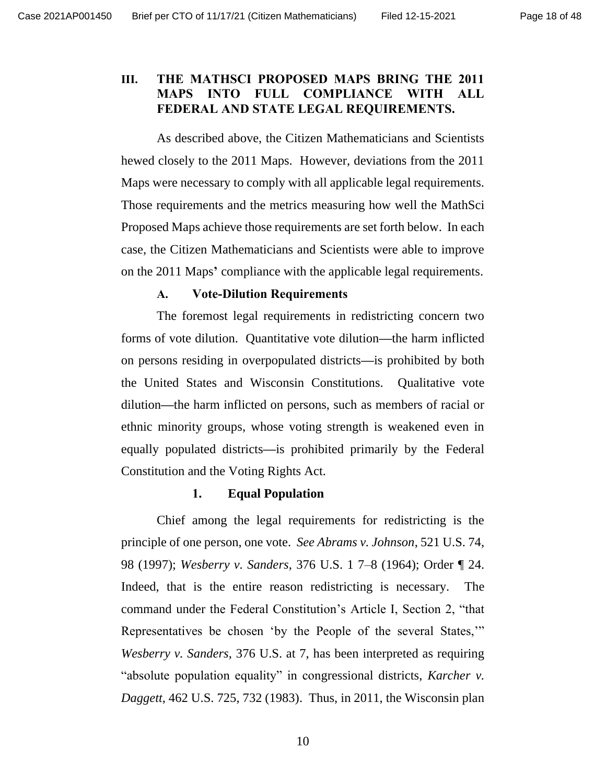## **III. THE MATHSCI PROPOSED MAPS BRING THE 2011 MAPS INTO FULL COMPLIANCE WITH ALL FEDERAL AND STATE LEGAL REQUIREMENTS.**

As described above, the Citizen Mathematicians and Scientists hewed closely to the 2011 Maps. However, deviations from the 2011 Maps were necessary to comply with all applicable legal requirements. Those requirements and the metrics measuring how well the MathSci Proposed Maps achieve those requirements are set forth below. In each case, the Citizen Mathematicians and Scientists were able to improve on the 2011 Maps**'** compliance with the applicable legal requirements.

### **A. Vote-Dilution Requirements**

The foremost legal requirements in redistricting concern two forms of vote dilution. Quantitative vote dilution**—**the harm inflicted on persons residing in overpopulated districts**—**is prohibited by both the United States and Wisconsin Constitutions. Qualitative vote dilution**—**the harm inflicted on persons, such as members of racial or ethnic minority groups, whose voting strength is weakened even in equally populated districts**—**is prohibited primarily by the Federal Constitution and the Voting Rights Act.

#### **1. Equal Population**

Chief among the legal requirements for redistricting is the principle of one person, one vote. *See Abrams v. Johnson*, 521 U.S. 74, 98 (1997); *Wesberry v. Sanders*, 376 U.S. 1 7–8 (1964); Order ¶ 24. Indeed, that is the entire reason redistricting is necessary. The command under the Federal Constitution's Article I, Section 2, "that Representatives be chosen 'by the People of the several States,'" *Wesberry v. Sanders*, 376 U.S. at 7, has been interpreted as requiring "absolute population equality" in congressional districts, *Karcher v. Daggett*, 462 U.S. 725, 732 (1983). Thus, in 2011, the Wisconsin plan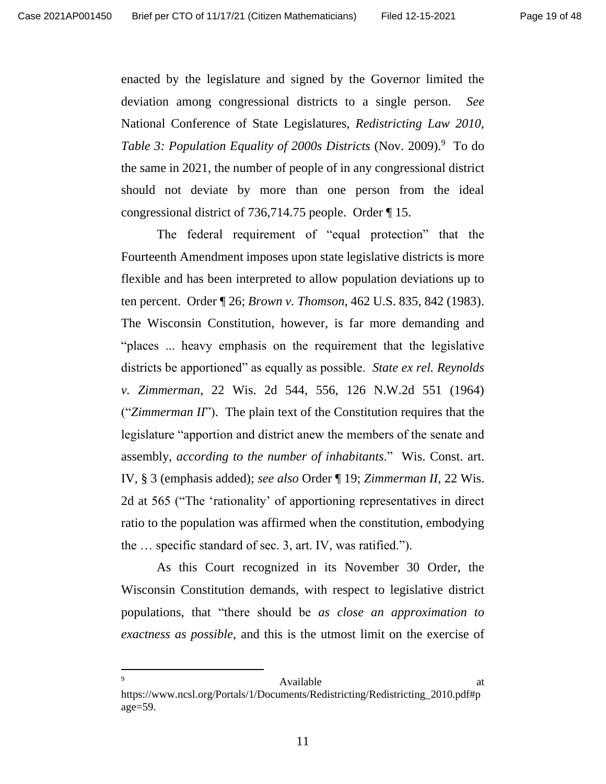enacted by the legislature and signed by the Governor limited the deviation among congressional districts to a single person. *See* National Conference of State Legislatures, *Redistricting Law 2010,*  Table 3: Population Equality of 2000s Districts (Nov. 2009).<sup>9</sup> To do the same in 2021, the number of people of in any congressional district should not deviate by more than one person from the ideal congressional district of 736,714.75 people. Order ¶ 15.

The federal requirement of "equal protection" that the Fourteenth Amendment imposes upon state legislative districts is more flexible and has been interpreted to allow population deviations up to ten percent. Order ¶ 26; *Brown v. Thomson,* 462 U.S. 835, 842 (1983). The Wisconsin Constitution, however, is far more demanding and "places ... heavy emphasis on the requirement that the legislative districts be apportioned" as equally as possible. *State ex rel. Reynolds v. Zimmerman*, 22 Wis. 2d 544, 556, 126 N.W.2d 551 (1964) ("*Zimmerman II*"). The plain text of the Constitution requires that the legislature "apportion and district anew the members of the senate and assembly, *according to the number of inhabitants*." Wis. Const. art. IV, § 3 (emphasis added); *see also* Order ¶ 19; *Zimmerman II*, 22 Wis. 2d at 565 ("The 'rationality' of apportioning representatives in direct ratio to the population was affirmed when the constitution, embodying the … specific standard of sec. 3, art. IV, was ratified.").

As this Court recognized in its November 30 Order, the Wisconsin Constitution demands, with respect to legislative district populations, that "there should be *as close an approximation to exactness as possible*, and this is the utmost limit on the exercise of

#### 9 Available at  $\alpha$ https://www.ncsl.org/Portals/1/Documents/Redistricting/Redistricting\_2010.pdf#p age=59.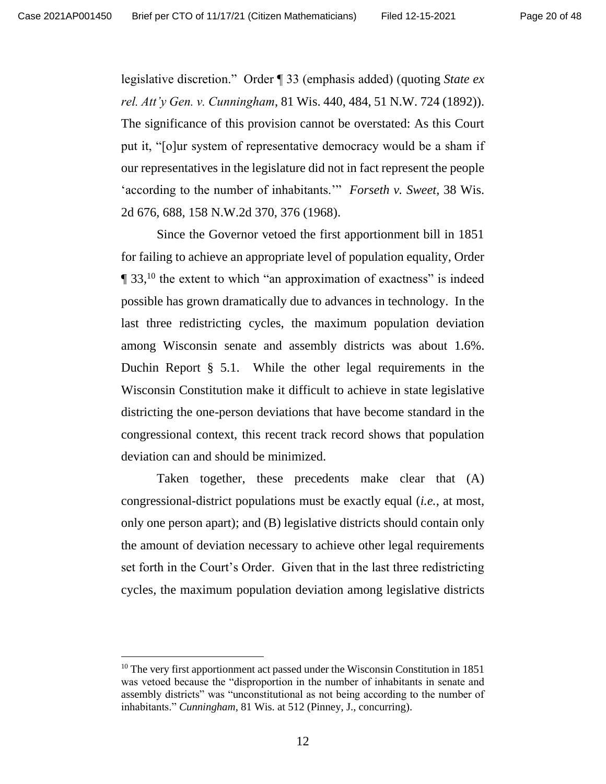legislative discretion." Order ¶ 33 (emphasis added) (quoting *State ex rel. Att'y Gen. v. Cunningham*, 81 Wis. 440, 484, 51 N.W. 724 (1892)). The significance of this provision cannot be overstated: As this Court put it, "[o]ur system of representative democracy would be a sham if our representatives in the legislature did not in fact represent the people 'according to the number of inhabitants.'" *Forseth v. Sweet*, 38 Wis. 2d 676, 688, 158 N.W.2d 370, 376 (1968).

Since the Governor vetoed the first apportionment bill in 1851 for failing to achieve an appropriate level of population equality, Order  $\P$  33,<sup>10</sup> the extent to which "an approximation of exactness" is indeed possible has grown dramatically due to advances in technology. In the last three redistricting cycles, the maximum population deviation among Wisconsin senate and assembly districts was about 1.6%. Duchin Report § 5.1. While the other legal requirements in the Wisconsin Constitution make it difficult to achieve in state legislative districting the one-person deviations that have become standard in the congressional context, this recent track record shows that population deviation can and should be minimized.

Taken together, these precedents make clear that (A) congressional-district populations must be exactly equal (*i.e.*, at most, only one person apart); and (B) legislative districts should contain only the amount of deviation necessary to achieve other legal requirements set forth in the Court's Order. Given that in the last three redistricting cycles, the maximum population deviation among legislative districts

<sup>&</sup>lt;sup>10</sup> The very first apportionment act passed under the Wisconsin Constitution in 1851 was vetoed because the "disproportion in the number of inhabitants in senate and assembly districts" was "unconstitutional as not being according to the number of inhabitants." *Cunningham*, 81 Wis. at 512 (Pinney, J., concurring).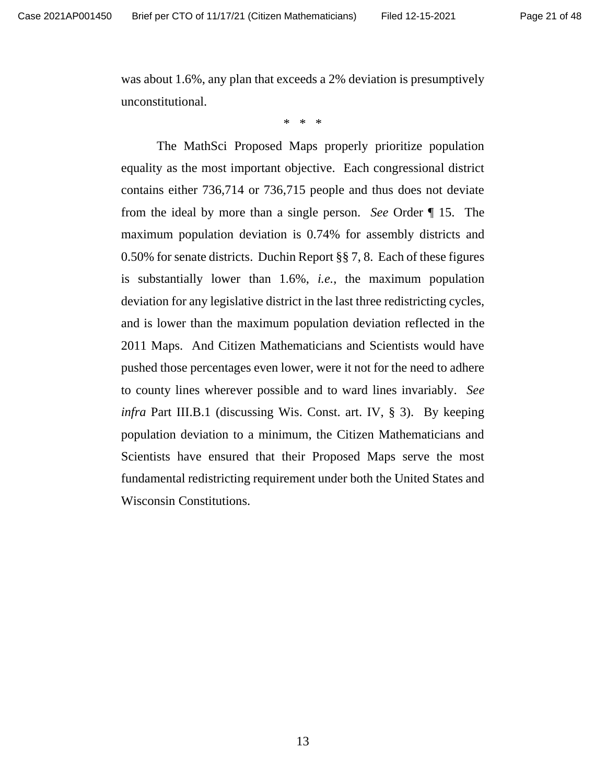was about 1.6%, any plan that exceeds a 2% deviation is presumptively unconstitutional.

\* \* \*

The MathSci Proposed Maps properly prioritize population equality as the most important objective. Each congressional district contains either 736,714 or 736,715 people and thus does not deviate from the ideal by more than a single person. *See* Order ¶ 15. The maximum population deviation is 0.74% for assembly districts and 0.50% for senate districts. Duchin Report §§ 7, 8. Each of these figures is substantially lower than 1.6%, *i.e.*, the maximum population deviation for any legislative district in the last three redistricting cycles, and is lower than the maximum population deviation reflected in the 2011 Maps. And Citizen Mathematicians and Scientists would have pushed those percentages even lower, were it not for the need to adhere to county lines wherever possible and to ward lines invariably. *See infra* Part III.B.1 (discussing Wis. Const. art. IV, § 3). By keeping population deviation to a minimum, the Citizen Mathematicians and Scientists have ensured that their Proposed Maps serve the most fundamental redistricting requirement under both the United States and Wisconsin Constitutions.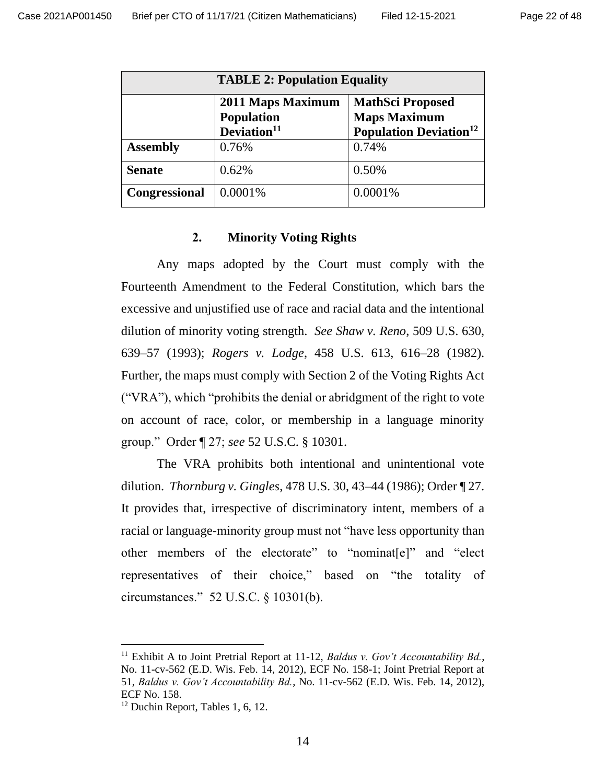| <b>TABLE 2: Population Equality</b> |                                                                   |                                                                                             |  |  |
|-------------------------------------|-------------------------------------------------------------------|---------------------------------------------------------------------------------------------|--|--|
|                                     | 2011 Maps Maximum<br><b>Population</b><br>Deviation <sup>11</sup> | <b>MathSci Proposed</b><br><b>Maps Maximum</b><br><b>Population Deviation</b> <sup>12</sup> |  |  |
| <b>Assembly</b>                     | 0.76%                                                             | 0.74%                                                                                       |  |  |
| <b>Senate</b>                       | 0.62%                                                             | 0.50%                                                                                       |  |  |
| Congressional                       | 0.0001%                                                           | 0.0001%                                                                                     |  |  |

#### **2. Minority Voting Rights**

Any maps adopted by the Court must comply with the Fourteenth Amendment to the Federal Constitution, which bars the excessive and unjustified use of race and racial data and the intentional dilution of minority voting strength. *See Shaw v. Reno*, 509 U.S. 630, 639–57 (1993); *Rogers v. Lodge*, 458 U.S. 613, 616–28 (1982). Further, the maps must comply with Section 2 of the Voting Rights Act ("VRA"), which "prohibits the denial or abridgment of the right to vote on account of race, color, or membership in a language minority group." Order ¶ 27; *see* 52 U.S.C. § 10301.

The VRA prohibits both intentional and unintentional vote dilution. *Thornburg v. Gingles*, 478 U.S. 30, 43–44 (1986); Order ¶ 27. It provides that, irrespective of discriminatory intent, members of a racial or language-minority group must not "have less opportunity than other members of the electorate" to "nominat[e]" and "elect representatives of their choice," based on "the totality of circumstances." 52 U.S.C. § 10301(b).

<sup>&</sup>lt;sup>11</sup> Exhibit A to Joint Pretrial Report at 11-12, *Baldus v. Gov't Accountability Bd.*, No. 11-cv-562 (E.D. Wis. Feb. 14, 2012), ECF No. 158-1; Joint Pretrial Report at 51, *Baldus v. Gov't Accountability Bd.*, No. 11-cv-562 (E.D. Wis. Feb. 14, 2012), ECF No. 158.

 $12$  Duchin Report, Tables 1, 6, 12.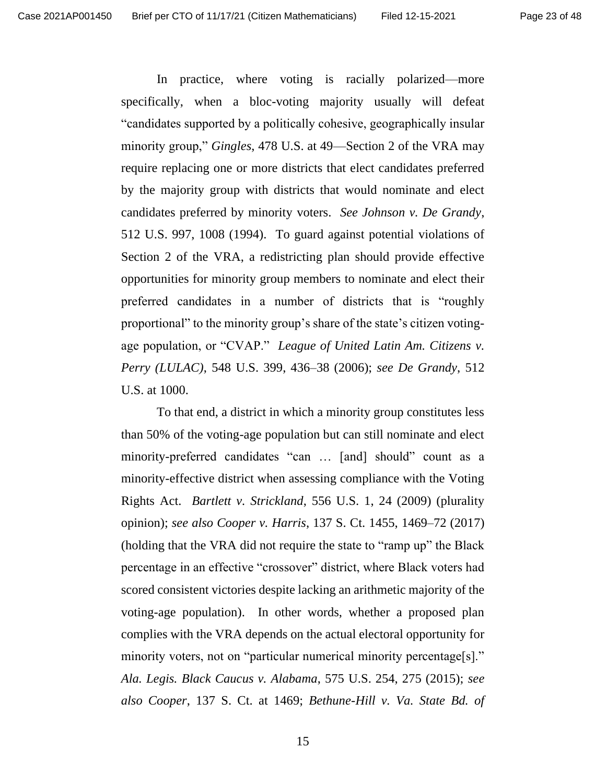In practice, where voting is racially polarized—more specifically, when a bloc-voting majority usually will defeat "candidates supported by a politically cohesive, geographically insular minority group," *Gingles*, 478 U.S. at 49—Section 2 of the VRA may require replacing one or more districts that elect candidates preferred by the majority group with districts that would nominate and elect candidates preferred by minority voters. *See Johnson v. De Grandy*, 512 U.S. 997, 1008 (1994). To guard against potential violations of Section 2 of the VRA, a redistricting plan should provide effective opportunities for minority group members to nominate and elect their preferred candidates in a number of districts that is "roughly proportional" to the minority group's share of the state's citizen votingage population, or "CVAP." *League of United Latin Am. Citizens v. Perry (LULAC)*, 548 U.S. 399, 436–38 (2006); *see De Grandy*, 512 U.S. at 1000.

To that end, a district in which a minority group constitutes less than 50% of the voting-age population but can still nominate and elect minority-preferred candidates "can … [and] should" count as a minority-effective district when assessing compliance with the Voting Rights Act. *Bartlett v. Strickland*, 556 U.S. 1, 24 (2009) (plurality opinion); *see also Cooper v. Harris*, 137 S. Ct. 1455, 1469–72 (2017) (holding that the VRA did not require the state to "ramp up" the Black percentage in an effective "crossover" district, where Black voters had scored consistent victories despite lacking an arithmetic majority of the voting-age population). In other words, whether a proposed plan complies with the VRA depends on the actual electoral opportunity for minority voters, not on "particular numerical minority percentage[s]." *Ala. Legis. Black Caucus v. Alabama*, 575 U.S. 254, 275 (2015); *see also Cooper*, 137 S. Ct. at 1469; *Bethune-Hill v. Va. State Bd. of*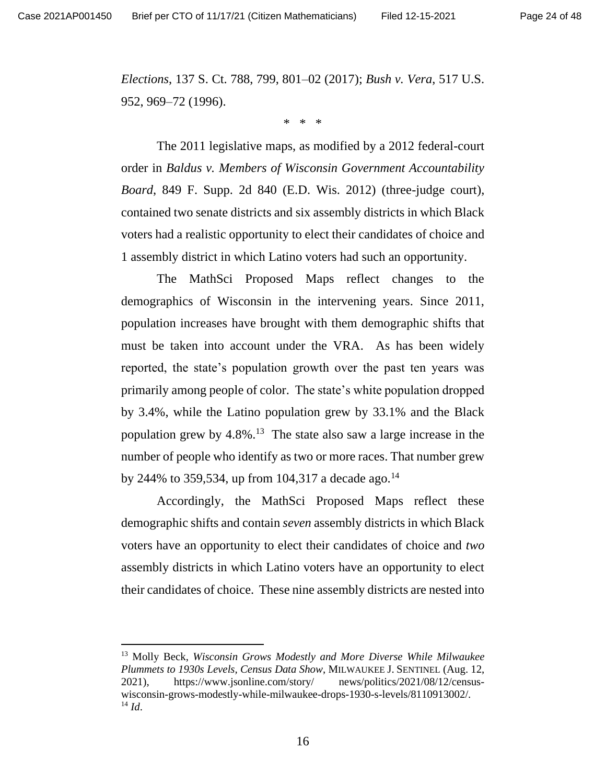*Elections*, 137 S. Ct. 788, 799, 801–02 (2017); *Bush v. Vera*, 517 U.S. 952, 969–72 (1996).

\* \* \*

The 2011 legislative maps, as modified by a 2012 federal-court order in *Baldus v. Members of Wisconsin Government Accountability Board*, 849 F. Supp. 2d 840 (E.D. Wis. 2012) (three-judge court), contained two senate districts and six assembly districts in which Black voters had a realistic opportunity to elect their candidates of choice and 1 assembly district in which Latino voters had such an opportunity.

The MathSci Proposed Maps reflect changes to the demographics of Wisconsin in the intervening years. Since 2011, population increases have brought with them demographic shifts that must be taken into account under the VRA. As has been widely reported, the state's population growth over the past ten years was primarily among people of color. The state's white population dropped by 3.4%, while the Latino population grew by 33.1% and the Black population grew by  $4.8\%$ <sup>13</sup> The state also saw a large increase in the number of people who identify as two or more races. That number grew by 244% to 359,534, up from 104,317 a decade ago.<sup>14</sup>

Accordingly, the MathSci Proposed Maps reflect these demographic shifts and contain *seven* assembly districts in which Black voters have an opportunity to elect their candidates of choice and *two* assembly districts in which Latino voters have an opportunity to elect their candidates of choice. These nine assembly districts are nested into

<sup>13</sup> Molly Beck, *Wisconsin Grows Modestly and More Diverse While Milwaukee Plummets to 1930s Levels, Census Data Show*, MILWAUKEE J. SENTINEL (Aug. 12, 2021), <https://www.jsonline.com/story/> news/politics/2021/08/12/censuswisconsin-grows-modestly-while-milwaukee-drops-1930-s-levels/8110913002/.  $^{14}$  *Id.*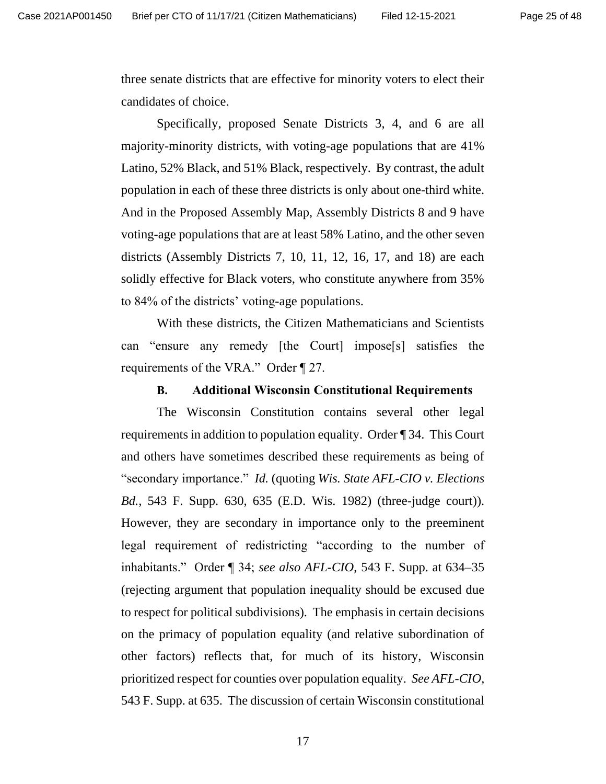three senate districts that are effective for minority voters to elect their candidates of choice.

Specifically, proposed Senate Districts 3, 4, and 6 are all majority-minority districts, with voting-age populations that are 41% Latino, 52% Black, and 51% Black, respectively. By contrast, the adult population in each of these three districts is only about one-third white. And in the Proposed Assembly Map, Assembly Districts 8 and 9 have voting-age populations that are at least 58% Latino, and the other seven districts (Assembly Districts 7, 10, 11, 12, 16, 17, and 18) are each solidly effective for Black voters, who constitute anywhere from 35% to 84% of the districts' voting-age populations.

With these districts, the Citizen Mathematicians and Scientists can "ensure any remedy [the Court] impose[s] satisfies the requirements of the VRA." Order ¶ 27.

#### **B. Additional Wisconsin Constitutional Requirements**

The Wisconsin Constitution contains several other legal requirements in addition to population equality. Order ¶ 34. This Court and others have sometimes described these requirements as being of "secondary importance." *Id.* (quoting *Wis. State AFL-CIO v. Elections Bd.*, 543 F. Supp. 630, 635 (E.D. Wis. 1982) (three-judge court)). However, they are secondary in importance only to the preeminent legal requirement of redistricting "according to the number of inhabitants." Order ¶ 34; *see also AFL-CIO*, 543 F. Supp. at 634–35 (rejecting argument that population inequality should be excused due to respect for political subdivisions). The emphasis in certain decisions on the primacy of population equality (and relative subordination of other factors) reflects that, for much of its history, Wisconsin prioritized respect for counties over population equality. *See AFL-CIO*, 543 F. Supp. at 635. The discussion of certain Wisconsin constitutional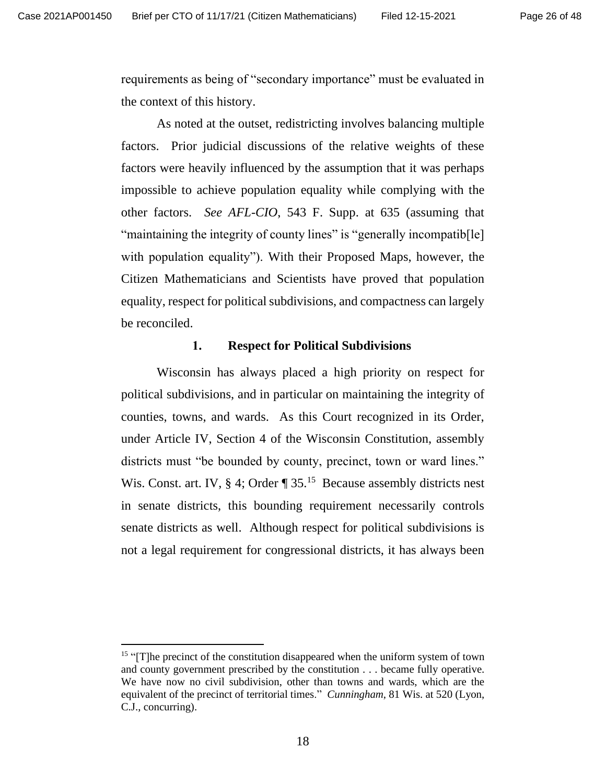requirements as being of "secondary importance" must be evaluated in the context of this history.

As noted at the outset, redistricting involves balancing multiple factors. Prior judicial discussions of the relative weights of these factors were heavily influenced by the assumption that it was perhaps impossible to achieve population equality while complying with the other factors. *See AFL-CIO*, 543 F. Supp. at 635 (assuming that "maintaining the integrity of county lines" is "generally incompatib[le] with population equality"). With their Proposed Maps, however, the Citizen Mathematicians and Scientists have proved that population equality, respect for political subdivisions, and compactness can largely be reconciled.

#### **1. Respect for Political Subdivisions**

Wisconsin has always placed a high priority on respect for political subdivisions, and in particular on maintaining the integrity of counties, towns, and wards. As this Court recognized in its Order, under Article IV, Section 4 of the Wisconsin Constitution, assembly districts must "be bounded by county, precinct, town or ward lines." Wis. Const. art. IV, § 4; Order  $\P$  35.<sup>15</sup> Because assembly districts nest in senate districts, this bounding requirement necessarily controls senate districts as well. Although respect for political subdivisions is not a legal requirement for congressional districts, it has always been

<sup>&</sup>lt;sup>15</sup> "[T]he precinct of the constitution disappeared when the uniform system of town and county government prescribed by the constitution . . . became fully operative. We have now no civil subdivision, other than towns and wards, which are the equivalent of the precinct of territorial times." *Cunningham*, 81 Wis. at 520 (Lyon, C.J., concurring).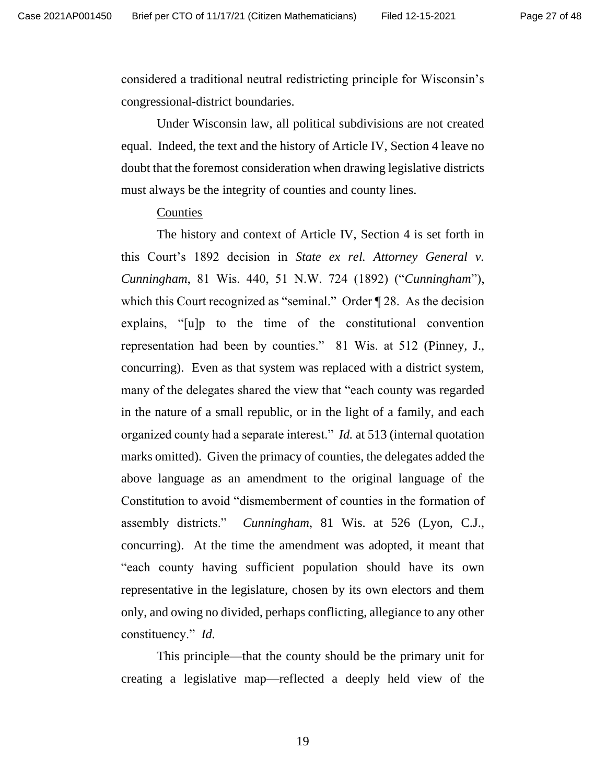considered a traditional neutral redistricting principle for Wisconsin's congressional-district boundaries.

Under Wisconsin law, all political subdivisions are not created equal. Indeed, the text and the history of Article IV, Section 4 leave no doubt that the foremost consideration when drawing legislative districts must always be the integrity of counties and county lines.

#### **Counties**

The history and context of Article IV, Section 4 is set forth in this Court's 1892 decision in *State ex rel. Attorney General v. Cunningham*, 81 Wis. 440, 51 N.W. 724 (1892) ("*Cunningham*"), which this Court recognized as "seminal." Order  $\P$  28. As the decision explains, "[u]p to the time of the constitutional convention representation had been by counties." 81 Wis. at 512 (Pinney, J., concurring). Even as that system was replaced with a district system, many of the delegates shared the view that "each county was regarded in the nature of a small republic, or in the light of a family, and each organized county had a separate interest." *Id.* at 513 (internal quotation marks omitted). Given the primacy of counties, the delegates added the above language as an amendment to the original language of the Constitution to avoid "dismemberment of counties in the formation of assembly districts." *Cunningham*, 81 Wis. at 526 (Lyon, C.J., concurring). At the time the amendment was adopted, it meant that "each county having sufficient population should have its own representative in the legislature, chosen by its own electors and them only, and owing no divided, perhaps conflicting, allegiance to any other constituency." *Id.*

This principle—that the county should be the primary unit for creating a legislative map—reflected a deeply held view of the

19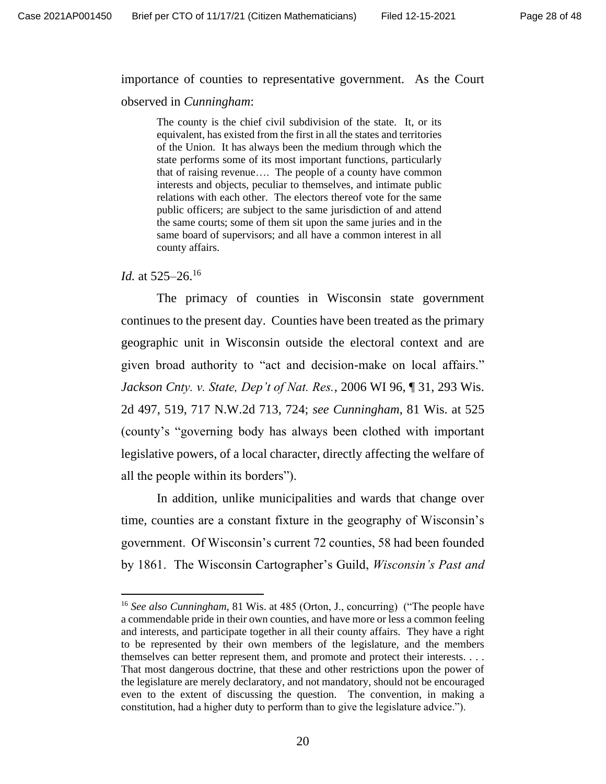#### importance of counties to representative government. As the Court

observed in *Cunningham*:

The county is the chief civil subdivision of the state. It, or its equivalent, has existed from the first in all the states and territories of the Union. It has always been the medium through which the state performs some of its most important functions, particularly that of raising revenue…. The people of a county have common interests and objects, peculiar to themselves, and intimate public relations with each other. The electors thereof vote for the same public officers; are subject to the same jurisdiction of and attend the same courts; some of them sit upon the same juries and in the same board of supervisors; and all have a common interest in all county affairs.

#### *Id.* at 525–26.<sup>16</sup>

The primacy of counties in Wisconsin state government continues to the present day. Counties have been treated as the primary geographic unit in Wisconsin outside the electoral context and are given broad authority to "act and decision-make on local affairs." *Jackson Cnty. v. State, Dep't of Nat. Res.*, 2006 WI 96, ¶ 31, 293 Wis. 2d 497, 519, 717 N.W.2d 713, 724; *see Cunningham*, 81 Wis. at 525 (county's "governing body has always been clothed with important legislative powers, of a local character, directly affecting the welfare of all the people within its borders").

In addition, unlike municipalities and wards that change over time, counties are a constant fixture in the geography of Wisconsin's government. Of Wisconsin's current 72 counties, 58 had been founded by 1861. The Wisconsin Cartographer's Guild, *Wisconsin's Past and* 

<sup>16</sup> *See also Cunningham*, 81 Wis. at 485 (Orton, J., concurring) ("The people have a commendable pride in their own counties, and have more or less a common feeling and interests, and participate together in all their county affairs. They have a right to be represented by their own members of the legislature, and the members themselves can better represent them, and promote and protect their interests. . . . That most dangerous doctrine, that these and other restrictions upon the power of the legislature are merely declaratory, and not mandatory, should not be encouraged even to the extent of discussing the question. The convention, in making a constitution, had a higher duty to perform than to give the legislature advice.").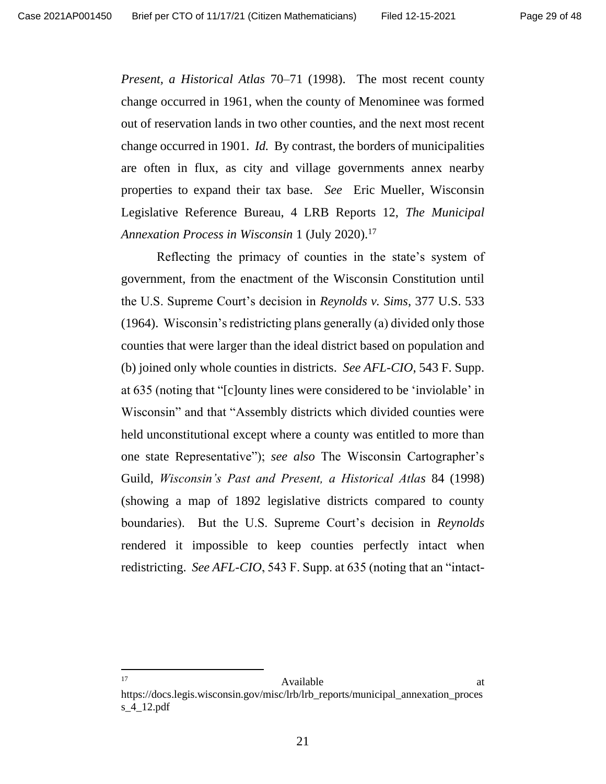*Present, a Historical Atlas* 70–71 (1998). The most recent county change occurred in 1961, when the county of Menominee was formed out of reservation lands in two other counties, and the next most recent change occurred in 1901. *Id.* By contrast, the borders of municipalities are often in flux, as city and village governments annex nearby properties to expand their tax base. *See* Eric Mueller, Wisconsin Legislative Reference Bureau, 4 LRB Reports 12, *The Municipal Annexation Process in Wisconsin* 1 (July 2020).<sup>17</sup>

Reflecting the primacy of counties in the state's system of government, from the enactment of the Wisconsin Constitution until the U.S. Supreme Court's decision in *Reynolds v. Sims*, 377 U.S. 533 (1964). Wisconsin's redistricting plans generally (a) divided only those counties that were larger than the ideal district based on population and (b) joined only whole counties in districts. *See AFL-CIO*, 543 F. Supp. at 635 (noting that "[c]ounty lines were considered to be 'inviolable' in Wisconsin" and that "Assembly districts which divided counties were held unconstitutional except where a county was entitled to more than one state Representative"); *see also* The Wisconsin Cartographer's Guild, *Wisconsin's Past and Present, a Historical Atlas* 84 (1998) (showing a map of 1892 legislative districts compared to county boundaries). But the U.S. Supreme Court's decision in *Reynolds* rendered it impossible to keep counties perfectly intact when redistricting. *See AFL-CIO*, 543 F. Supp. at 635 (noting that an "intact-

17 Available at Available at  $\alpha$ 

https://docs.legis.wisconsin.gov/misc/lrb/lrb\_reports/municipal\_annexation\_proces s\_4\_12.pdf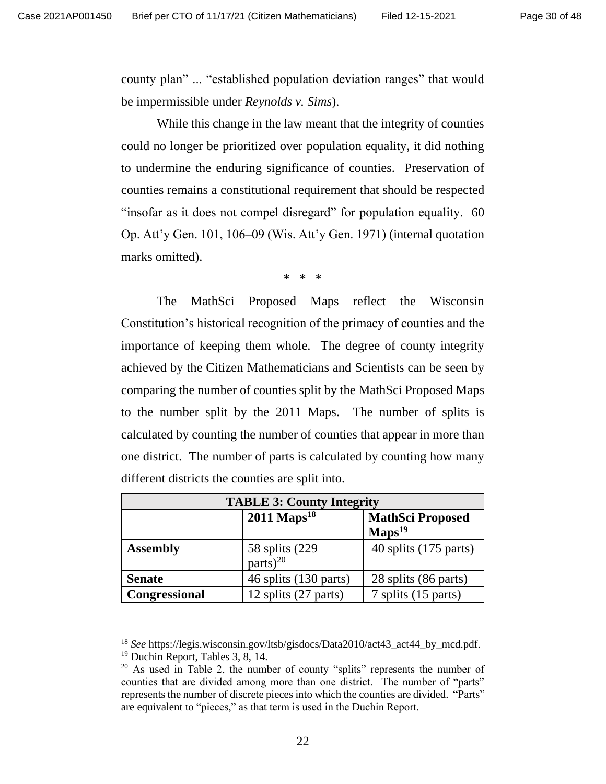county plan" ... "established population deviation ranges" that would be impermissible under *Reynolds v. Sims*).

While this change in the law meant that the integrity of counties could no longer be prioritized over population equality, it did nothing to undermine the enduring significance of counties. Preservation of counties remains a constitutional requirement that should be respected "insofar as it does not compel disregard" for population equality. 60 Op. Att'y Gen. 101, 106–09 (Wis. Att'y Gen. 1971) (internal quotation marks omitted).

\* \* \*

The MathSci Proposed Maps reflect the Wisconsin Constitution's historical recognition of the primacy of counties and the importance of keeping them whole. The degree of county integrity achieved by the Citizen Mathematicians and Scientists can be seen by comparing the number of counties split by the MathSci Proposed Maps to the number split by the 2011 Maps. The number of splits is calculated by counting the number of counties that appear in more than one district. The number of parts is calculated by counting how many different districts the counties are split into.

| <b>TABLE 3: County Integrity</b> |                                          |                                               |  |  |
|----------------------------------|------------------------------------------|-----------------------------------------------|--|--|
|                                  | $2011$ Maps <sup>18</sup>                | <b>MathSci Proposed</b><br>$\text{Maps}^{19}$ |  |  |
| <b>Assembly</b>                  | 58 splits $(229$<br>parts) <sup>20</sup> | $40$ splits (175 parts)                       |  |  |
| <b>Senate</b>                    | 46 splits (130 parts)                    | 28 splits (86 parts)                          |  |  |
| Congressional                    | 12 splits (27 parts)                     | 7 splits (15 parts)                           |  |  |

<sup>18</sup> *See* https://legis.wisconsin.gov/ltsb/gisdocs/Data2010/act43\_act44\_by\_mcd.pdf. <sup>19</sup> Duchin Report, Tables 3, 8, 14.

 $20$  As used in Table 2, the number of county "splits" represents the number of counties that are divided among more than one district. The number of "parts" represents the number of discrete pieces into which the counties are divided. "Parts" are equivalent to "pieces," as that term is used in the Duchin Report.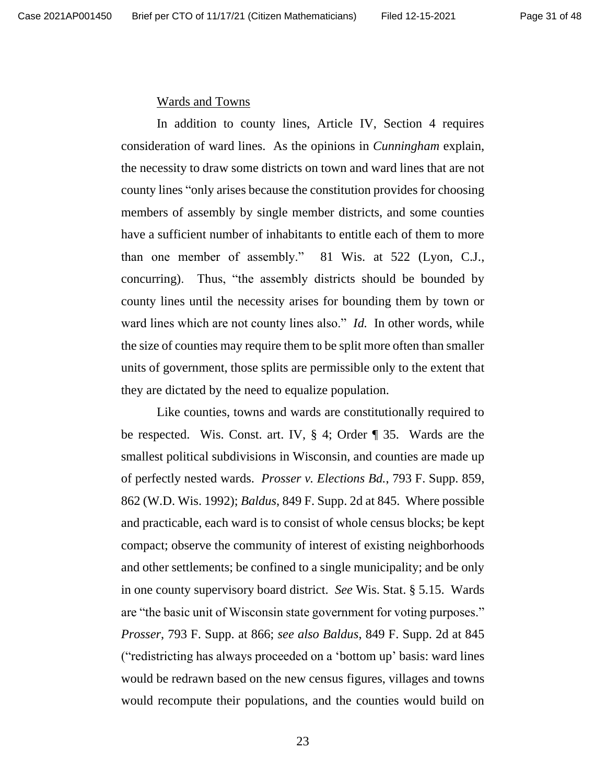#### Wards and Towns

In addition to county lines, Article IV, Section 4 requires consideration of ward lines. As the opinions in *Cunningham* explain, the necessity to draw some districts on town and ward lines that are not county lines "only arises because the constitution provides for choosing members of assembly by single member districts, and some counties have a sufficient number of inhabitants to entitle each of them to more than one member of assembly." 81 Wis. at 522 (Lyon, C.J., concurring). Thus, "the assembly districts should be bounded by county lines until the necessity arises for bounding them by town or ward lines which are not county lines also." *Id.* In other words, while the size of counties may require them to be split more often than smaller units of government, those splits are permissible only to the extent that they are dictated by the need to equalize population.

Like counties, towns and wards are constitutionally required to be respected. Wis. Const. art. IV, § 4; Order ¶ 35. Wards are the smallest political subdivisions in Wisconsin, and counties are made up of perfectly nested wards. *Prosser v. Elections Bd.*, 793 F. Supp. 859, 862 (W.D. Wis. 1992); *Baldus*, 849 F. Supp. 2d at 845. Where possible and practicable, each ward is to consist of whole census blocks; be kept compact; observe the community of interest of existing neighborhoods and other settlements; be confined to a single municipality; and be only in one county supervisory board district. *See* Wis. Stat. § 5.15. Wards are "the basic unit of Wisconsin state government for voting purposes." *Prosser*, 793 F. Supp. at 866; *see also Baldus*, 849 F. Supp. 2d at 845 ("redistricting has always proceeded on a 'bottom up' basis: ward lines would be redrawn based on the new census figures, villages and towns would recompute their populations, and the counties would build on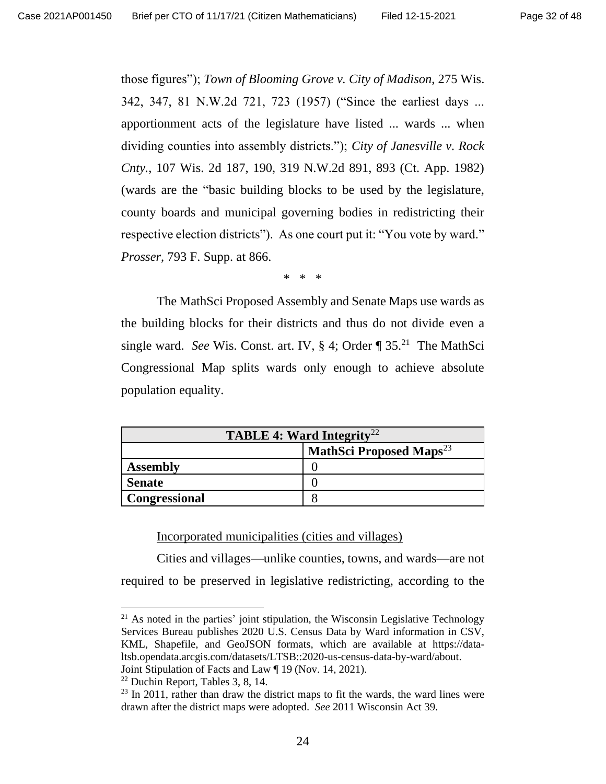those figures"); *Town of Blooming Grove v. City of Madison*, 275 Wis. 342, 347, 81 N.W.2d 721, 723 (1957) ("Since the earliest days ... apportionment acts of the legislature have listed ... wards ... when dividing counties into assembly districts."); *City of Janesville v. Rock Cnty.*, 107 Wis. 2d 187, 190, 319 N.W.2d 891, 893 (Ct. App. 1982) (wards are the "basic building blocks to be used by the legislature, county boards and municipal governing bodies in redistricting their respective election districts"). As one court put it: "You vote by ward." *Prosser*, 793 F. Supp. at 866.

\* \* \*

The MathSci Proposed Assembly and Senate Maps use wards as the building blocks for their districts and thus do not divide even a single ward. See Wis. Const. art. IV, § 4; Order ¶ 35.<sup>21</sup> The MathSci Congressional Map splits wards only enough to achieve absolute population equality.

| <b>TABLE 4: Ward Integrity</b> <sup>22</sup> |                                            |  |  |
|----------------------------------------------|--------------------------------------------|--|--|
|                                              | <b>MathSci Proposed Maps</b> <sup>23</sup> |  |  |
| <b>Assembly</b>                              |                                            |  |  |
| <b>Senate</b>                                |                                            |  |  |
| Congressional                                |                                            |  |  |

Incorporated municipalities (cities and villages)

Cities and villages—unlike counties, towns, and wards—are not required to be preserved in legislative redistricting, according to the

 $21$  As noted in the parties' joint stipulation, the Wisconsin Legislative Technology Services Bureau publishes 2020 U.S. Census Data by Ward information in CSV, KML, Shapefile, and GeoJSON formats, which are available at https://dataltsb.opendata.arcgis.com/datasets/LTSB::2020-us-census-data-by-ward/about. Joint Stipulation of Facts and Law ¶ 19 (Nov. 14, 2021).

<sup>22</sup> Duchin Report, Tables 3, 8, 14.

 $23$  In 2011, rather than draw the district maps to fit the wards, the ward lines were drawn after the district maps were adopted. *See* 2011 Wisconsin Act 39.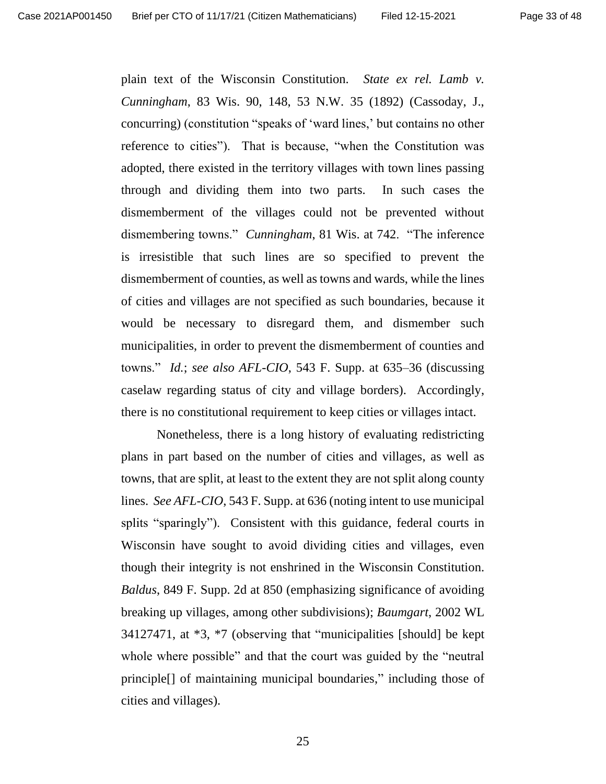plain text of the Wisconsin Constitution. *State ex rel. Lamb v. Cunningham*, 83 Wis. 90, 148, 53 N.W. 35 (1892) (Cassoday, J., concurring) (constitution "speaks of 'ward lines,' but contains no other reference to cities"). That is because, "when the Constitution was adopted, there existed in the territory villages with town lines passing through and dividing them into two parts. In such cases the dismemberment of the villages could not be prevented without dismembering towns." *Cunningham*, 81 Wis. at 742. "The inference is irresistible that such lines are so specified to prevent the dismemberment of counties, as well as towns and wards, while the lines of cities and villages are not specified as such boundaries, because it would be necessary to disregard them, and dismember such municipalities, in order to prevent the dismemberment of counties and towns." *Id.*; *see also AFL-CIO*, 543 F. Supp. at 635–36 (discussing caselaw regarding status of city and village borders). Accordingly, there is no constitutional requirement to keep cities or villages intact.

Nonetheless, there is a long history of evaluating redistricting plans in part based on the number of cities and villages, as well as towns, that are split, at least to the extent they are not split along county lines. *See AFL-CIO*, 543 F. Supp. at 636 (noting intent to use municipal splits "sparingly"). Consistent with this guidance, federal courts in Wisconsin have sought to avoid dividing cities and villages, even though their integrity is not enshrined in the Wisconsin Constitution. *Baldus*, 849 F. Supp. 2d at 850 (emphasizing significance of avoiding breaking up villages, among other subdivisions); *Baumgart*, 2002 WL 34127471, at \*3, \*7 (observing that "municipalities [should] be kept whole where possible" and that the court was guided by the "neutral" principle[] of maintaining municipal boundaries," including those of cities and villages).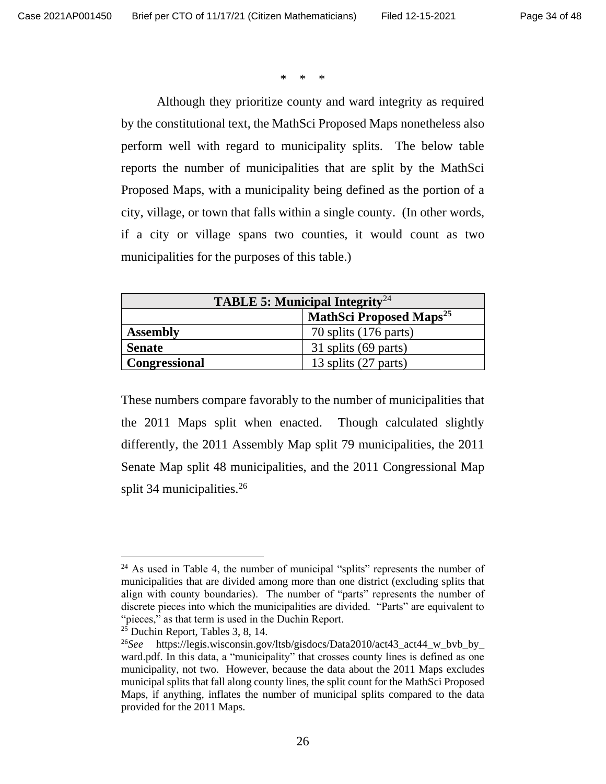\* \* \*

Although they prioritize county and ward integrity as required by the constitutional text, the MathSci Proposed Maps nonetheless also perform well with regard to municipality splits. The below table reports the number of municipalities that are split by the MathSci Proposed Maps, with a municipality being defined as the portion of a city, village, or town that falls within a single county. (In other words, if a city or village spans two counties, it would count as two municipalities for the purposes of this table.)

| <b>TABLE 5: Municipal Integrity</b> <sup>24</sup> |                                           |  |  |
|---------------------------------------------------|-------------------------------------------|--|--|
|                                                   | <b>MathSci Proposed Maps<sup>25</sup></b> |  |  |
| <b>Assembly</b>                                   | 70 splits (176 parts)                     |  |  |
| <b>Senate</b>                                     | 31 splits (69 parts)                      |  |  |
| Congressional                                     | 13 splits (27 parts)                      |  |  |

These numbers compare favorably to the number of municipalities that the 2011 Maps split when enacted. Though calculated slightly differently, the 2011 Assembly Map split 79 municipalities, the 2011 Senate Map split 48 municipalities, and the 2011 Congressional Map split 34 municipalities.<sup>26</sup>

 $24$  As used in Table 4, the number of municipal "splits" represents the number of municipalities that are divided among more than one district (excluding splits that align with county boundaries). The number of "parts" represents the number of discrete pieces into which the municipalities are divided. "Parts" are equivalent to "pieces," as that term is used in the Duchin Report.

 $25$  Duchin Report, Tables 3, 8, 14.

<sup>26</sup>*See* [https://legis.wisconsin.gov/ltsb/gisdocs/Data2010/act43\\_act44\\_w\\_bvb\\_by\\_](https://legis.wisconsin.gov/ltsb/gisdocs/Data2010/act43_act44_w_bvb_by_) ward.pdf. In this data, a "municipality" that crosses county lines is defined as one municipality, not two. However, because the data about the 2011 Maps excludes municipal splits that fall along county lines, the split count for the MathSci Proposed Maps, if anything, inflates the number of municipal splits compared to the data provided for the 2011 Maps.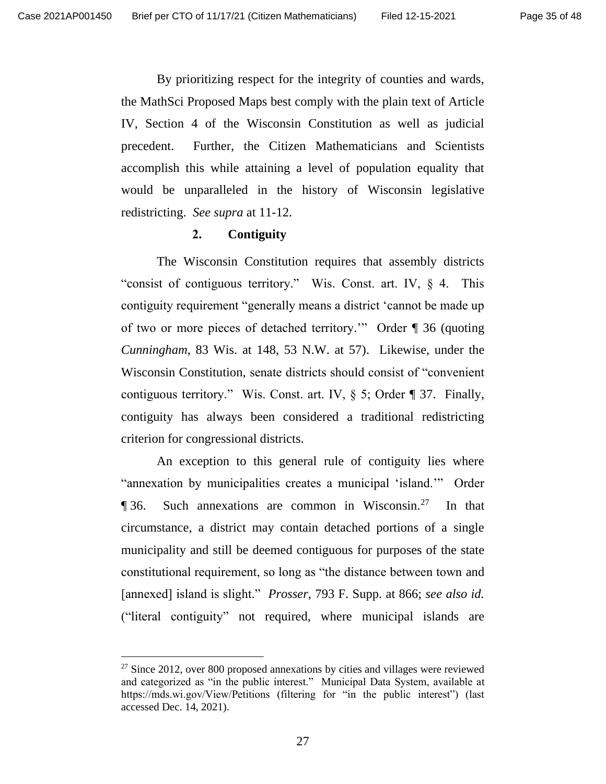By prioritizing respect for the integrity of counties and wards, the MathSci Proposed Maps best comply with the plain text of Article IV, Section 4 of the Wisconsin Constitution as well as judicial precedent. Further, the Citizen Mathematicians and Scientists accomplish this while attaining a level of population equality that would be unparalleled in the history of Wisconsin legislative redistricting. *See supra* at 11-12.

#### **2. Contiguity**

The Wisconsin Constitution requires that assembly districts "consist of contiguous territory." Wis. Const. art. IV, § 4. This contiguity requirement "generally means a district 'cannot be made up of two or more pieces of detached territory.'" Order ¶ 36 (quoting *Cunningham*, 83 Wis. at 148, 53 N.W. at 57). Likewise, under the Wisconsin Constitution, senate districts should consist of "convenient contiguous territory." Wis. Const. art. IV,  $\S$  5; Order  $\P$  37. Finally, contiguity has always been considered a traditional redistricting criterion for congressional districts.

An exception to this general rule of contiguity lies where "annexation by municipalities creates a municipal 'island.'" Order ¶ 36. Such annexations are common in Wisconsin.<sup>27</sup> In that circumstance, a district may contain detached portions of a single municipality and still be deemed contiguous for purposes of the state constitutional requirement, so long as "the distance between town and [annexed] island is slight." *Prosser*, 793 F. Supp. at 866; *see also id.* ("literal contiguity" not required, where municipal islands are

 $27$  Since 2012, over 800 proposed annexations by cities and villages were reviewed and categorized as "in the public interest." Municipal Data System, available at https://mds.wi.gov/View/Petitions (filtering for "in the public interest") (last accessed Dec. 14, 2021).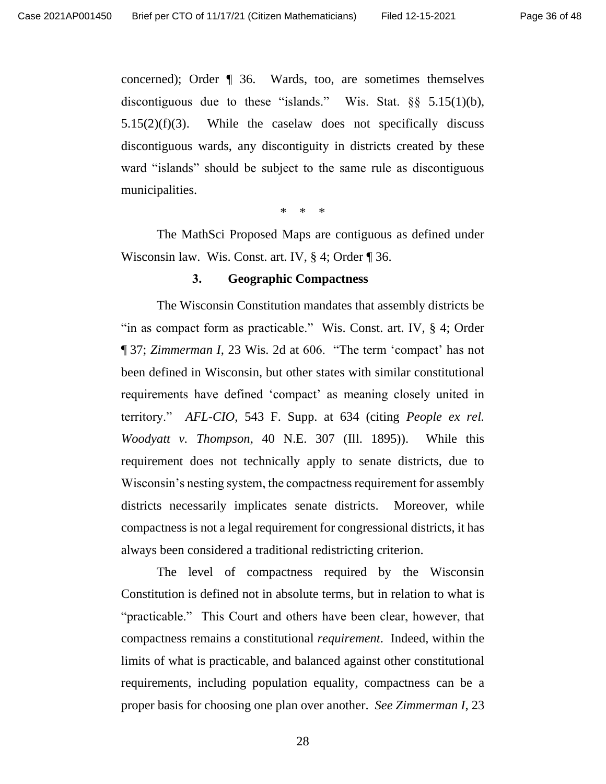concerned); Order ¶ 36. Wards, too, are sometimes themselves discontiguous due to these "islands." Wis. Stat. §§ 5.15(1)(b),  $5.15(2)(f)(3)$ . While the caselaw does not specifically discuss discontiguous wards, any discontiguity in districts created by these ward "islands" should be subject to the same rule as discontiguous municipalities.

\* \* \*

The MathSci Proposed Maps are contiguous as defined under Wisconsin law. Wis. Const. art. IV, § 4; Order ¶ 36.

#### **3. Geographic Compactness**

The Wisconsin Constitution mandates that assembly districts be "in as compact form as practicable." Wis. Const. art. IV, § 4; Order ¶ 37; *Zimmerman I*, 23 Wis. 2d at 606. "The term 'compact' has not been defined in Wisconsin, but other states with similar constitutional requirements have defined 'compact' as meaning closely united in territory." *AFL-CIO*, 543 F. Supp. at 634 (citing *People ex rel. Woodyatt v. Thompson*, 40 N.E. 307 (Ill. 1895)). While this requirement does not technically apply to senate districts, due to Wisconsin's nesting system, the compactness requirement for assembly districts necessarily implicates senate districts. Moreover, while compactness is not a legal requirement for congressional districts, it has always been considered a traditional redistricting criterion.

The level of compactness required by the Wisconsin Constitution is defined not in absolute terms, but in relation to what is "practicable." This Court and others have been clear, however, that compactness remains a constitutional *requirement*. Indeed, within the limits of what is practicable, and balanced against other constitutional requirements, including population equality, compactness can be a proper basis for choosing one plan over another. *See Zimmerman I*, 23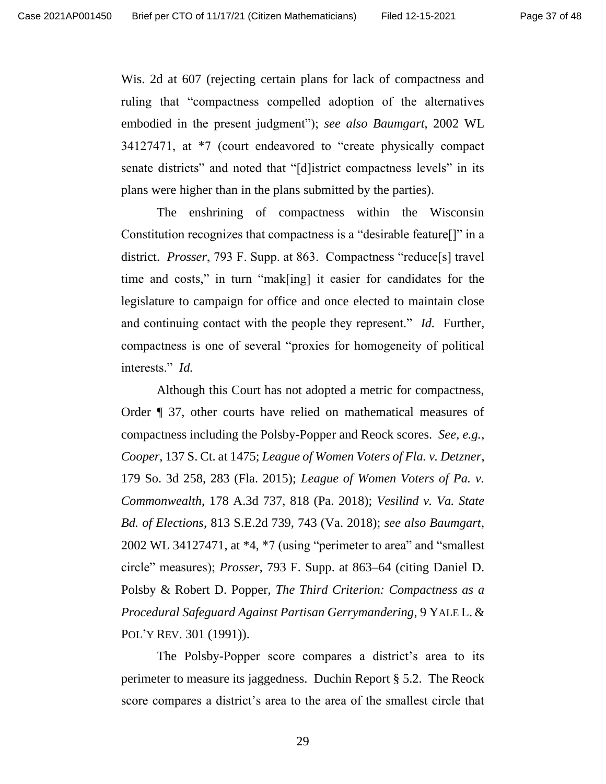Wis. 2d at 607 (rejecting certain plans for lack of compactness and ruling that "compactness compelled adoption of the alternatives embodied in the present judgment"); *see also Baumgart*, 2002 WL 34127471, at \*7 (court endeavored to "create physically compact senate districts" and noted that "[d]istrict compactness levels" in its plans were higher than in the plans submitted by the parties).

The enshrining of compactness within the Wisconsin Constitution recognizes that compactness is a "desirable feature[]" in a district. *Prosser*, 793 F. Supp. at 863. Compactness "reduce[s] travel time and costs," in turn "mak[ing] it easier for candidates for the legislature to campaign for office and once elected to maintain close and continuing contact with the people they represent." *Id.* Further, compactness is one of several "proxies for homogeneity of political interests." *Id.*

Although this Court has not adopted a metric for compactness, Order ¶ 37, other courts have relied on mathematical measures of compactness including the Polsby-Popper and Reock scores. *See, e.g.*, *Cooper*, 137 S. Ct. at 1475; *League of Women Voters of Fla. v. Detzner*, 179 So. 3d 258, 283 (Fla. 2015); *League of Women Voters of Pa. v. Commonwealth*, 178 A.3d 737, 818 (Pa. 2018); *Vesilind v. Va. State Bd. of Elections*, 813 S.E.2d 739, 743 (Va. 2018); *see also Baumgart*, 2002 WL 34127471, at \*4, \*7 (using "perimeter to area" and "smallest circle" measures); *Prosser*, 793 F. Supp. at 863–64 (citing Daniel D. Polsby & Robert D. Popper, *The Third Criterion: Compactness as a Procedural Safeguard Against Partisan Gerrymandering*, 9 YALE L. & POL'Y REV. 301 (1991)).

The Polsby-Popper score compares a district's area to its perimeter to measure its jaggedness. Duchin Report § 5.2. The Reock score compares a district's area to the area of the smallest circle that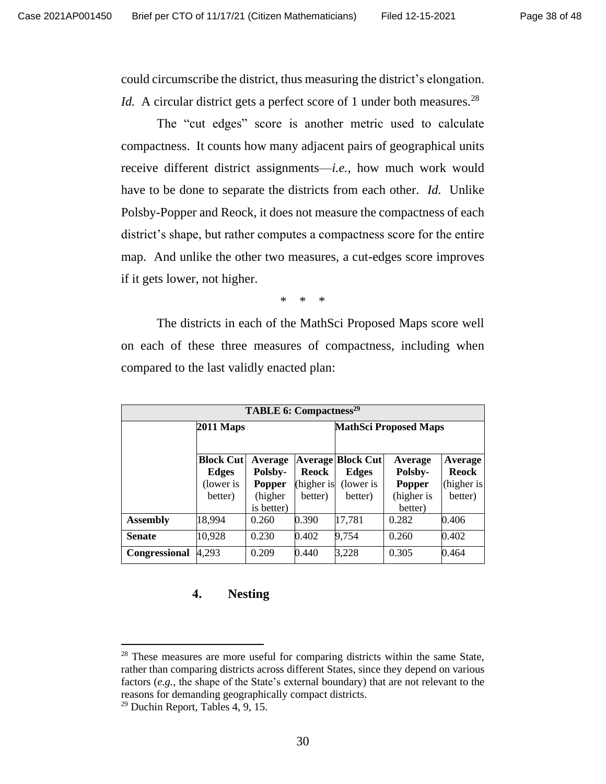could circumscribe the district, thus measuring the district's elongation. *Id.* A circular district gets a perfect score of 1 under both measures.<sup>28</sup>

The "cut edges" score is another metric used to calculate compactness. It counts how many adjacent pairs of geographical units receive different district assignments—*i.e.*, how much work would have to be done to separate the districts from each other. *Id.* Unlike Polsby-Popper and Reock, it does not measure the compactness of each district's shape, but rather computes a compactness score for the entire map. And unlike the other two measures, a cut-edges score improves if it gets lower, not higher.

\* \* \*

The districts in each of the MathSci Proposed Maps score well on each of these three measures of compactness, including when compared to the last validly enacted plan:

| <b>TABLE 6: Compactness<sup>29</sup></b> |                  |            |              |                              |            |              |
|------------------------------------------|------------------|------------|--------------|------------------------------|------------|--------------|
|                                          | <b>2011 Maps</b> |            |              | <b>MathSci Proposed Maps</b> |            |              |
|                                          |                  |            |              |                              |            |              |
|                                          | <b>Block Cut</b> | Average    |              | <b>Average Block Cut</b>     | Average    | Average      |
|                                          | <b>Edges</b>     | Polsby-    | <b>Reock</b> | <b>Edges</b>                 | Polsby-    | <b>Reock</b> |
|                                          | (lower is        | Popper     | (higher is   | (lower is                    | Popper     | (higher is   |
|                                          | better)          | (higher    | better)      | better)                      | (higher is | better)      |
|                                          |                  | is better) |              |                              | better)    |              |
| <b>Assembly</b>                          | 18,994           | 0.260      | 0.390        | 17,781                       | 0.282      | 0.406        |
| <b>Senate</b>                            | 10,928           | 0.230      | 0.402        | 9,754                        | 0.260      | 0.402        |
| Congressional                            | 4,293            | 0.209      | 0.440        | 3,228                        | 0.305      | 0.464        |

#### **4. Nesting**

<sup>&</sup>lt;sup>28</sup> These measures are more useful for comparing districts within the same State, rather than comparing districts across different States, since they depend on various factors (*e.g.*, the shape of the State's external boundary) that are not relevant to the reasons for demanding geographically compact districts.

 $29$  Duchin Report, Tables 4, 9, 15.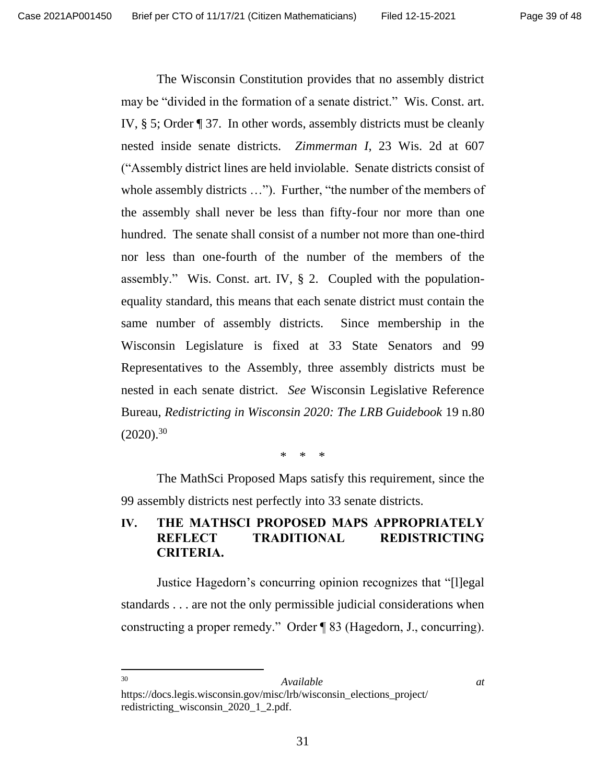The Wisconsin Constitution provides that no assembly district may be "divided in the formation of a senate district." Wis. Const. art. IV, § 5; Order ¶ 37. In other words, assembly districts must be cleanly nested inside senate districts. *Zimmerman I*, 23 Wis. 2d at 607 ("Assembly district lines are held inviolable. Senate districts consist of whole assembly districts ..."). Further, "the number of the members of the assembly shall never be less than fifty-four nor more than one hundred. The senate shall consist of a number not more than one-third nor less than one-fourth of the number of the members of the assembly." Wis. Const. art. IV, § 2. Coupled with the populationequality standard, this means that each senate district must contain the same number of assembly districts. Since membership in the Wisconsin Legislature is fixed at 33 State Senators and 99 Representatives to the Assembly, three assembly districts must be nested in each senate district. *See* Wisconsin Legislative Reference Bureau, *Redistricting in Wisconsin 2020: The LRB Guidebook* 19 n.80  $(2020).^{30}$ 

\* \* \*

The MathSci Proposed Maps satisfy this requirement, since the 99 assembly districts nest perfectly into 33 senate districts.

## **IV. THE MATHSCI PROPOSED MAPS APPROPRIATELY REFLECT TRADITIONAL REDISTRICTING CRITERIA.**

Justice Hagedorn's concurring opinion recognizes that "[l]egal standards . . . are not the only permissible judicial considerations when constructing a proper remedy." Order ¶ 83 (Hagedorn, J., concurring).

#### <sup>30</sup> *Available at*

https://docs.legis.wisconsin.gov/misc/lrb/wisconsin\_elections\_project/ redistricting\_wisconsin\_2020\_1\_2.pdf.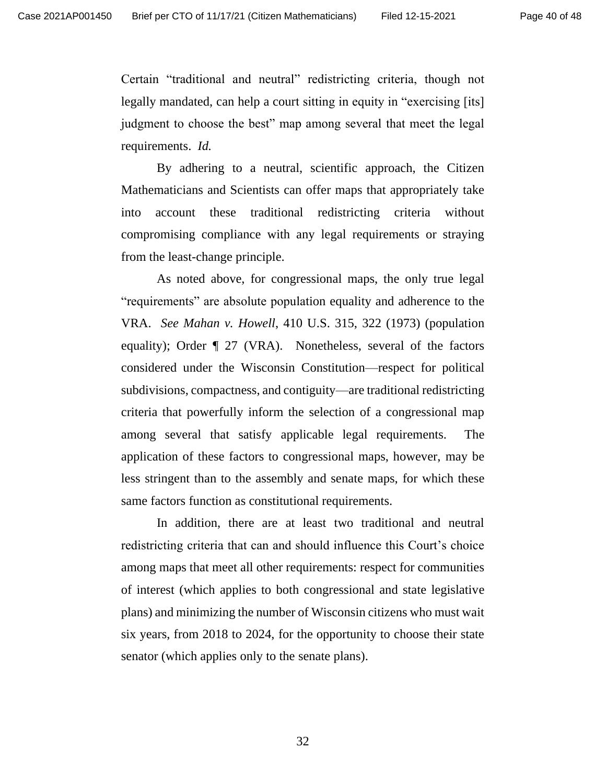Certain "traditional and neutral" redistricting criteria, though not legally mandated, can help a court sitting in equity in "exercising [its] judgment to choose the best" map among several that meet the legal requirements. *Id.*

By adhering to a neutral, scientific approach, the Citizen Mathematicians and Scientists can offer maps that appropriately take into account these traditional redistricting criteria without compromising compliance with any legal requirements or straying from the least-change principle.

As noted above, for congressional maps, the only true legal "requirements" are absolute population equality and adherence to the VRA. *See Mahan v. Howell*, 410 U.S. 315, 322 (1973) (population equality); Order ¶ 27 (VRA).Nonetheless, several of the factors considered under the Wisconsin Constitution—respect for political subdivisions, compactness, and contiguity—are traditional redistricting criteria that powerfully inform the selection of a congressional map among several that satisfy applicable legal requirements. The application of these factors to congressional maps, however, may be less stringent than to the assembly and senate maps, for which these same factors function as constitutional requirements.

In addition, there are at least two traditional and neutral redistricting criteria that can and should influence this Court's choice among maps that meet all other requirements: respect for communities of interest (which applies to both congressional and state legislative plans) and minimizing the number of Wisconsin citizens who must wait six years, from 2018 to 2024, for the opportunity to choose their state senator (which applies only to the senate plans).

32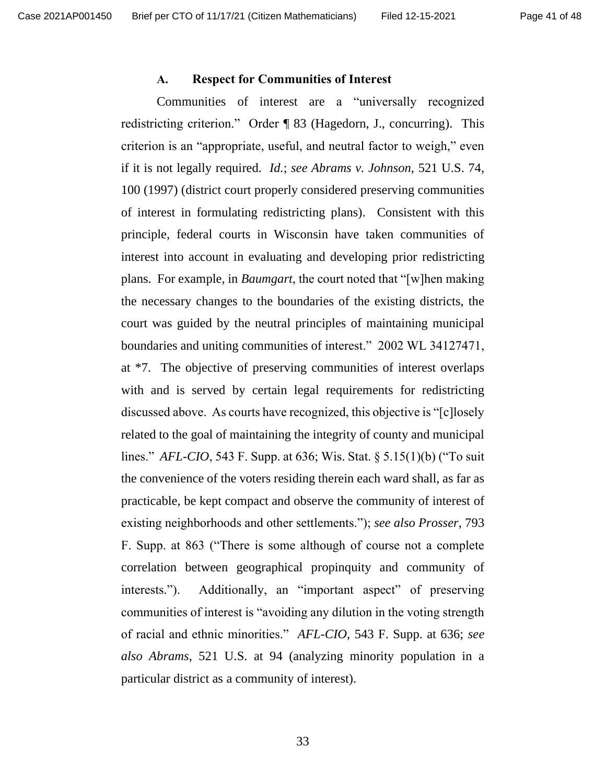#### **A. Respect for Communities of Interest**

Communities of interest are a "universally recognized redistricting criterion." Order ¶ 83 (Hagedorn, J., concurring). This criterion is an "appropriate, useful, and neutral factor to weigh," even if it is not legally required. *Id.*; *see Abrams v. Johnson*, 521 U.S. 74, 100 (1997) (district court properly considered preserving communities of interest in formulating redistricting plans). Consistent with this principle, federal courts in Wisconsin have taken communities of interest into account in evaluating and developing prior redistricting plans. For example, in *Baumgart*, the court noted that "[w]hen making the necessary changes to the boundaries of the existing districts, the court was guided by the neutral principles of maintaining municipal boundaries and uniting communities of interest." 2002 WL 34127471, at \*7. The objective of preserving communities of interest overlaps with and is served by certain legal requirements for redistricting discussed above. As courts have recognized, this objective is "[c]losely related to the goal of maintaining the integrity of county and municipal lines." *AFL-CIO*, 543 F. Supp. at 636; Wis. Stat. § 5.15(1)(b) ("To suit the convenience of the voters residing therein each ward shall, as far as practicable, be kept compact and observe the community of interest of existing neighborhoods and other settlements."); *see also Prosser*, 793 F. Supp. at 863 ("There is some although of course not a complete correlation between geographical propinquity and community of interests."). Additionally, an "important aspect" of preserving communities of interest is "avoiding any dilution in the voting strength of racial and ethnic minorities." *AFL-CIO*, 543 F. Supp. at 636; *see also Abrams*, 521 U.S. at 94 (analyzing minority population in a particular district as a community of interest).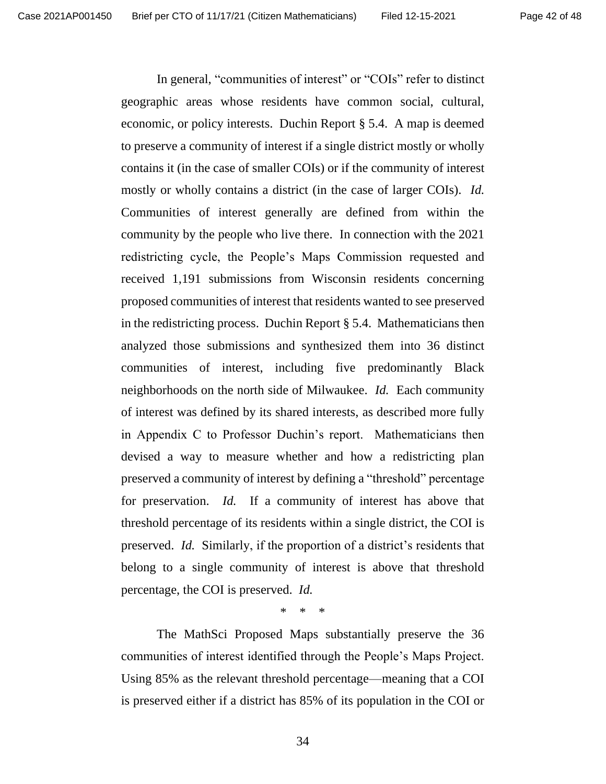In general, "communities of interest" or "COIs" refer to distinct geographic areas whose residents have common social, cultural, economic, or policy interests. Duchin Report § 5.4. A map is deemed to preserve a community of interest if a single district mostly or wholly contains it (in the case of smaller COIs) or if the community of interest mostly or wholly contains a district (in the case of larger COIs). *Id.* Communities of interest generally are defined from within the community by the people who live there. In connection with the 2021 redistricting cycle, the People's Maps Commission requested and received 1,191 submissions from Wisconsin residents concerning proposed communities of interest that residents wanted to see preserved in the redistricting process. Duchin Report § 5.4. Mathematicians then analyzed those submissions and synthesized them into 36 distinct communities of interest, including five predominantly Black neighborhoods on the north side of Milwaukee. *Id.* Each community of interest was defined by its shared interests, as described more fully in Appendix C to Professor Duchin's report. Mathematicians then devised a way to measure whether and how a redistricting plan preserved a community of interest by defining a "threshold" percentage for preservation. *Id.* If a community of interest has above that threshold percentage of its residents within a single district, the COI is preserved. *Id.* Similarly, if the proportion of a district's residents that belong to a single community of interest is above that threshold percentage, the COI is preserved. *Id.*

\* \* \*

The MathSci Proposed Maps substantially preserve the 36 communities of interest identified through the People's Maps Project. Using 85% as the relevant threshold percentage—meaning that a COI is preserved either if a district has 85% of its population in the COI or

34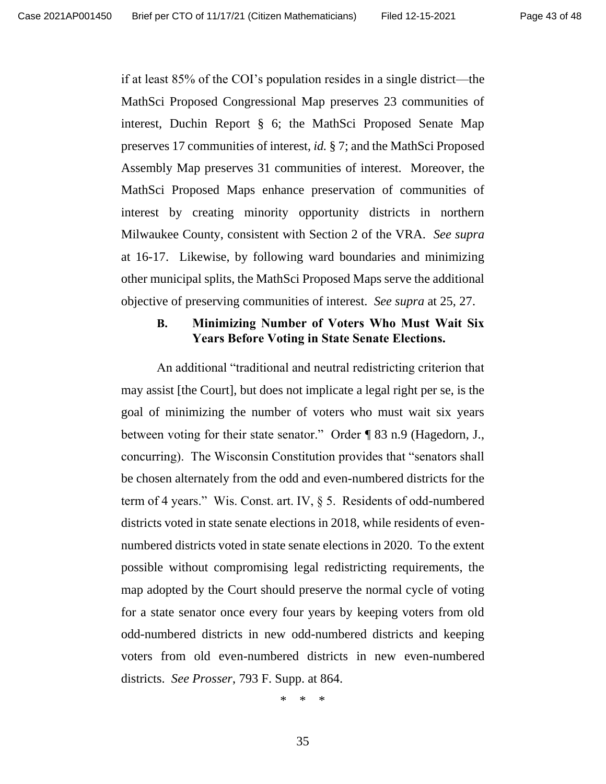if at least 85% of the COI's population resides in a single district—the MathSci Proposed Congressional Map preserves 23 communities of interest, Duchin Report § 6; the MathSci Proposed Senate Map preserves 17 communities of interest, *id.* § 7; and the MathSci Proposed Assembly Map preserves 31 communities of interest. Moreover, the MathSci Proposed Maps enhance preservation of communities of interest by creating minority opportunity districts in northern Milwaukee County, consistent with Section 2 of the VRA. *See supra* at 16-17. Likewise, by following ward boundaries and minimizing other municipal splits, the MathSci Proposed Maps serve the additional objective of preserving communities of interest. *See supra* at 25, 27.

### **B. Minimizing Number of Voters Who Must Wait Six Years Before Voting in State Senate Elections.**

An additional "traditional and neutral redistricting criterion that may assist [the Court], but does not implicate a legal right per se, is the goal of minimizing the number of voters who must wait six years between voting for their state senator." Order ¶ 83 n.9 (Hagedorn, J., concurring). The Wisconsin Constitution provides that "senators shall be chosen alternately from the odd and even-numbered districts for the term of 4 years." Wis. Const. art. IV, § 5. Residents of odd-numbered districts voted in state senate elections in 2018, while residents of evennumbered districts voted in state senate elections in 2020. To the extent possible without compromising legal redistricting requirements, the map adopted by the Court should preserve the normal cycle of voting for a state senator once every four years by keeping voters from old odd-numbered districts in new odd-numbered districts and keeping voters from old even-numbered districts in new even-numbered districts. *See Prosser*, 793 F. Supp. at 864.

\* \* \*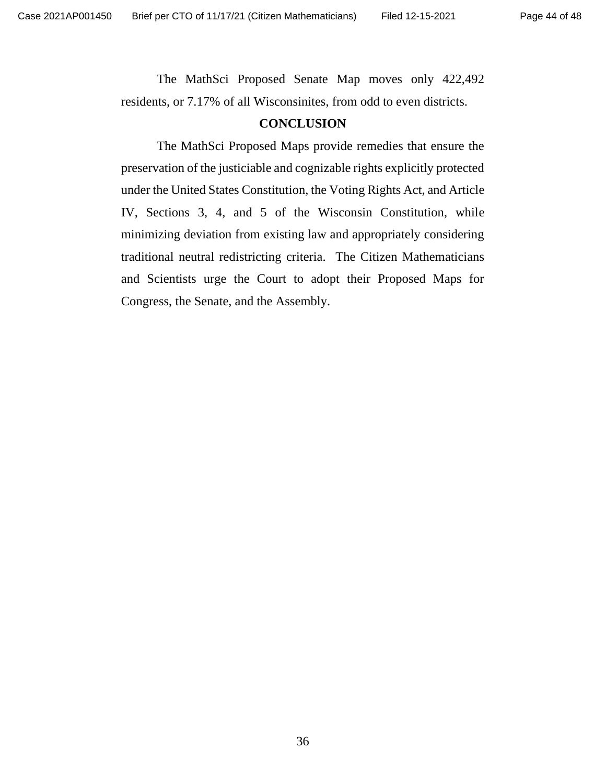The MathSci Proposed Senate Map moves only 422,492 residents, or 7.17% of all Wisconsinites, from odd to even districts.

### **CONCLUSION**

The MathSci Proposed Maps provide remedies that ensure the preservation of the justiciable and cognizable rights explicitly protected under the United States Constitution, the Voting Rights Act, and Article IV, Sections 3, 4, and 5 of the Wisconsin Constitution, while minimizing deviation from existing law and appropriately considering traditional neutral redistricting criteria. The Citizen Mathematicians and Scientists urge the Court to adopt their Proposed Maps for Congress, the Senate, and the Assembly.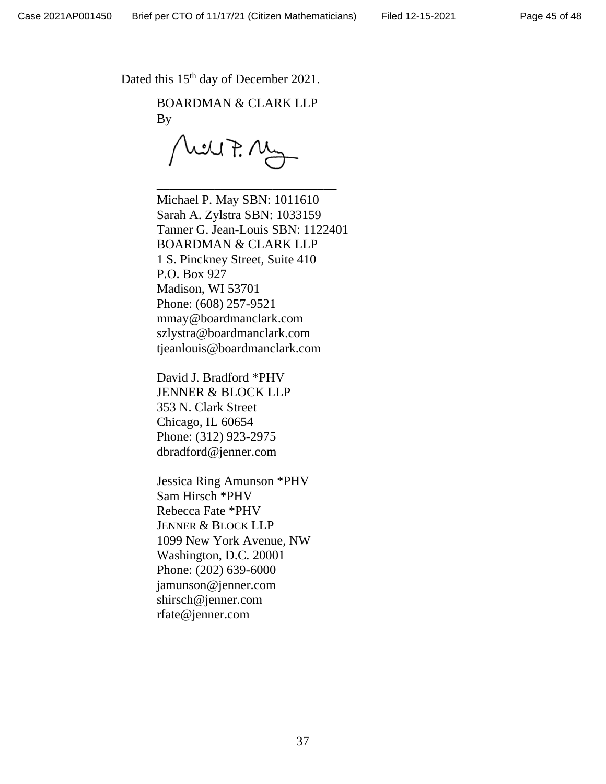Dated this 15<sup>th</sup> day of December 2021.

BOARDMAN & CLARK LLP By

will F. My

\_\_\_\_\_\_\_\_\_\_\_\_\_\_\_\_\_\_\_\_\_\_\_\_\_\_\_\_

Michael P. May SBN: 1011610 Sarah A. Zylstra SBN: 1033159 Tanner G. Jean-Louis SBN: 1122401 BOARDMAN & CLARK LLP 1 S. Pinckney Street, Suite 410 P.O. Box 927 Madison, WI 53701 Phone: (608) 257-9521 mmay@boardmanclark.com szlystra@boardmanclark.com tjeanlouis@boardmanclark.com

David J. Bradford \*PHV JENNER & BLOCK LLP 353 N. Clark Street Chicago, IL 60654 Phone: (312) 923-2975 dbradford@jenner.com

Jessica Ring Amunson \*PHV Sam Hirsch \*PHV Rebecca Fate \*PHV JENNER & BLOCK LLP 1099 New York Avenue, NW Washington, D.C. 20001 Phone: (202) 639-6000 jamunson@jenner.com shirsch@jenner.com rfate@jenner.com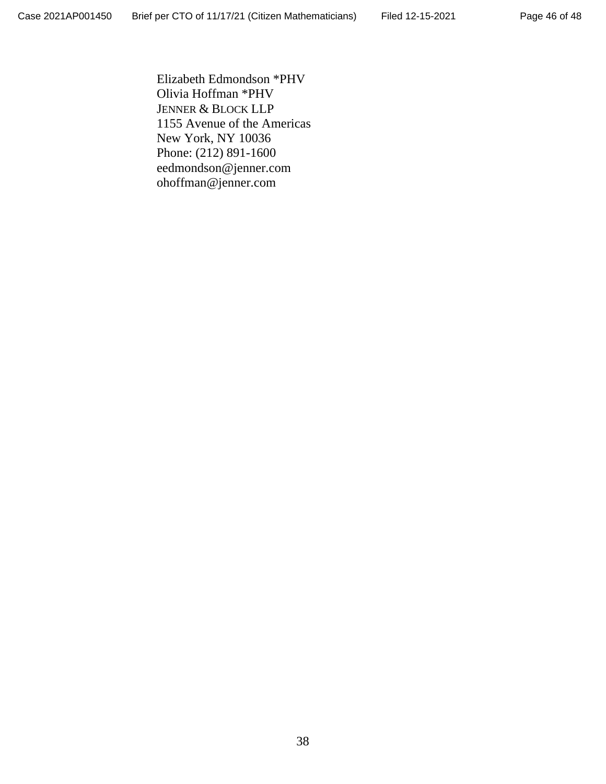Elizabeth Edmondson \*PHV Olivia Hoffman \*PHV JENNER & BLOCK LLP 1155 Avenue of the Americas New York, NY 10036 Phone: (212) 891-1600 eedmondson@jenner.com ohoffman@jenner.com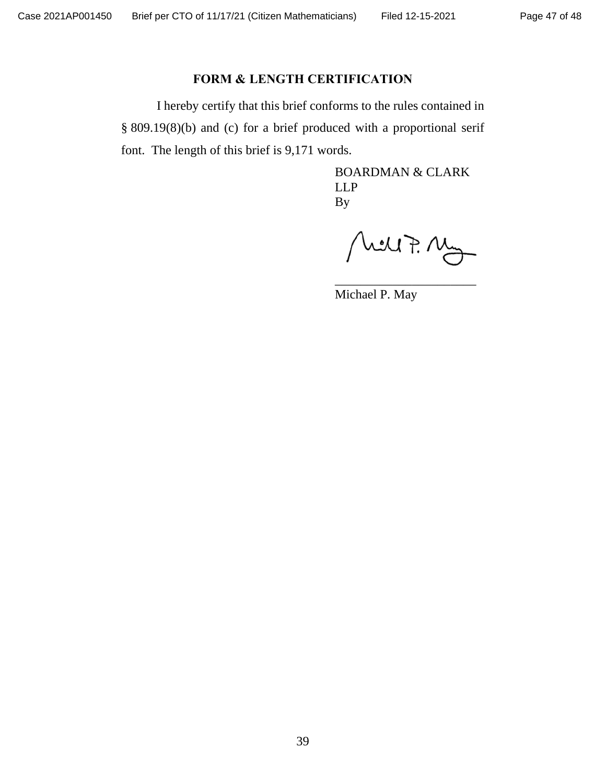## **FORM & LENGTH CERTIFICATION**

I hereby certify that this brief conforms to the rules contained in § 809.19(8)(b) and (c) for a brief produced with a proportional serif font. The length of this brief is 9,171 words.

> BOARDMAN & CLARK LLP By

Mill7. Mg

\_\_\_\_\_\_\_\_\_\_\_\_\_\_\_\_\_\_\_\_\_\_

Michael P. May